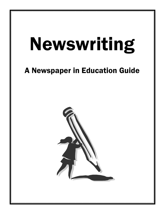# Newswriting

# A Newspaper in Education Guide

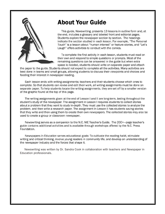

# **About Your Guide**

This guide, Newswriting, presents 13 lessons in outline form and, at the end, includes a glossary and labeled front and editorial pages. Students explore the newspaper section by section. The headings indicate the section studied in each lesson. For example, "The Personal Touch" is a lesson about "human interest" or feature stories, and "Let's Laugh" offers activities to conduct with the comics.

To complete the first activity in each lesson, students must read on their own and respond to simple questions or prompts. Most of the remaining questions can be answered in the guide but when extra space is needed, students should write on separate paper and attach

the paper to the guide. Students should not expect to complete all the activities. Many activities are best done in teams and small groups, allowing students to discuss their viewpoints and choices and feeding their interest in newspaper reading.

Each lesson ends with writing assignments; teachers and their students choose which ones to complete. So that students can revise and edit their work, all writing assignments must be done on separate paper. To help students locate the writing assignments, they are set off by a smaller version of the graphic found at the top of this page.

The writing assignments given at the end of Lesson I and II are long-term, lasting throughout the student's study of the newspaper. The assignment in Lesson I requires students to collect stories about a problem that they want to study in-depth. They must use the collected stories to analyze the problem, and then write a research paper. The assignment in Lesson II has students saving stories that they write and then using them to create their own newspapers. The collected stories may also be used to create a group or classroom newspaper.

Newswriting serves as a companion to the N.C. NIE Teacher's Guide. The 200+-page teacher's guide contains additional activities and is available through workshops offered by the N.C. Press Foundation.

Newspapers in Education serves educational goals: To cultivate the reading habit, stimulate writing and critical thinking, involve young readers in community life, and develop an understanding of the newspaper industry and the forces that shape it.

Newswriting was written by Dr. Sandra Cook in collaboration with teachers and Newspaper in Education professionals.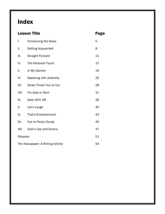# **Index**

|                                         | <b>Lesson Title</b>         | Page |
|-----------------------------------------|-----------------------------|------|
| I.                                      | Introducing the News        | 5    |
| ΙΙ.                                     | <b>Getting Acquainted</b>   | 8    |
| Ш.                                      | <b>Straight Forward</b>     | 11   |
| IV.                                     | The Personal Touch          | 15   |
| V.                                      | In My Opinion               | 19   |
| VI.                                     | Speaking with Authority     | 25   |
| VII.                                    | Strike Three! You're Out    | 28   |
| VIII.                                   | For Sale or Rent            | 31   |
| IX.                                     | Sale! 60% Off               | 36   |
| Χ.                                      | Let's Laugh                 | 40   |
| XI.                                     | <b>That's Entertainment</b> | 43   |
| XII.                                    | Fair to Partly Cloudy       | 45   |
| XIII.                                   | Dow's Ups and Downs         | 47   |
| Glossary                                |                             | 51   |
| 54<br>The Newspaper: A Writing Activity |                             |      |
|                                         |                             |      |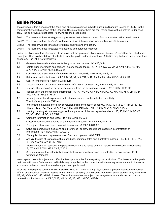# Guide Notes

The activities in this guide meet the goals and objectives outlined in North Carolina's Standard Course of Study. In the communications skills section of the Standard Course of Study, there are four major goals with objectives under each goal. The objectives are not listed, following are the broad goals:

- Goal 1: The learner will use strategies and processes that enhance control of communication skills development.
- Goal 2: The learner will use language for the acquisition, interpretation, and application of information.
- Goal 3: The learner will use language for critical analysis and evaluation.
- Goal 4: The learner will use language for aesthetic and personal response.

Under the objectives, foci offer some of the ways that the goals and objectives can be met. Several foci are listed under each goal. Here is a breakdown of activities from this guide under different foci. Activities may be listed under more than one focus. The list is not exhaustive.

- 1.1 Generate key words and concepts likely to be used in task. IIC, VIIC, VIIIH
- 1.1 Relate prior knowledge and personal experiences to topics. IA, IIA, IIIA, IVA, VA, VIA VIIA, VIIIA, IXA, XA, XIA, XIIA, XIIIA, VIC, VIIIJ, XIB2, XIC2, XIID6
- 1.1 Consider status and intent of source or creator. IIIE, IVB8, IVB9, VC-G, VIB-G, XE
- 1.2 Skim, scan and note ideas. IA, IIB, llIB, IVA, VA, VIA, VIIA, VIIIA, IXA, XA, XIA, XIIA, XIIB-D, XIIIA,XIIIB
- 1.3 Search for sense or a "lead." IIIC, IIID, IVB
- 1.3 Discuss, outline, or summarize new facts, information or ideas. VA, VIID-E, VIIIG, IXC, XIB-D
- 1.3 Interpret the meaning of, or draw conclusions from the selection or activity. IVB-E, XIB2, XIC2, XIE
- 1.3 Reflect upon experiences and information. IA, IIA, IVA, VA, VIA, VIIA, VIIIA, IXA, XA, XIA, XIIA, XIIIA, VB, VIC-D, VIG, VIIF, XB, XIIC5-6, XIID6
- 1.3 Note agreement or disagreement with ideas presented on the selection oractivity. V-writing assignments, VIG3-4
- 1.3 Interpret the meaning of or draw conclusions from the section or activity. IA, IC, IE, IF, IIB3-4, IIDI-2, IIE, IIIC, IIID2-3, IIIE-G, IVB, IVC-D, VC-G, VICG, VIID3, VIIIJ, IXB-D, ICF, XB-F, XIB-E, XIIC4-6, XIID6, XIIIC-D
- 2.1 Identify the story structure or organizational patterns of the text, speech or visual. IIB, IIF, IIIC-D, IVB-F, VB, VC, VG, VIB-C, VIIB-C, IXB, XIB1
- 2.2 Compare information and ideas. ID, VIIIB-C, IXB, XC-D, XF
- 2.2 Classify information and ideas on the basis of attributes. IB, VB, VIIIB, VIIIF, XIE
- 2.2 Form generalizations based on new information. IC, VIIIC, IXC-D, XE
- 2.3 Solve problems, make decisions and inferences , or draw conclusions based on interpretation of information. IE-F, IIE-G, VIII I-J, IXF, XIIID
- 3.1 Distinguish between representations of fact and opinion. VC-G, XIE2
- 3.1 Analyze the use of text aids such as headings, captions, titles and illustrative material. IIB, IID-E, IIIC-D, IVB, IVF, VC, VG, VIB-C, VIIB, IXB, XIIIB
- 4.1 Express emotional reactions and personal opinions and relate personal values to a selection or experience. IF, IVD3, VIC3, VIIIJ, XIB2, XIC2, XIIID2
- 4.3 Create a product that effectively demonstrates a personal response to a selection or experience. IF, all writing assignments.

Newspapers cover all subjects and offer limitless opportunities for integrating the curriculum. The lessons in this guide that deal with news, features, and editorials may be applied to the content most interesting to students or to the social studies and science content required at a particular grade level.

All of the newspaper is content for social studies whether it is community life, social and political issues, international affairs, or economics. Several lessons in this guide hit squarely on objectives required in social studies: IB-F, IIIA-B, llID-E, IIIG, VA, VC-G, VIA-C, VIG, XIIIA-E. Lesson IX examines weather, a subject that integrates math and science. Math is required in other lessons: IA, VIIID, VIIIG, VIII I3, IXF, XB, XIB1, XIIC-D, XIIIB-D.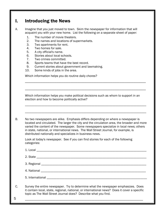### I. Introducing the News

A. Imagine that you just moved to town. Skim the newspaper for information that will acquaint you with your new home. List the following on a separate sheet of paper:

- 1. The number of movie theaters.
- 2. The names and locations of supermarkets.
- 3. Two apartments for rent.
- 4. Two homes for sale.
- 5. A city official's name.
- 6. Stories about local schools.
- 7. Two crimes committed.
- 8. Sports teams that have the best record.
- 9. Current stories about government and lawmaking.
- 10. Some kinds of jobs in the area.

Which information helps you do routine daily chores?

 Which information helps you make political decisions such as whom to support in an election and how to become politically active?

\_\_\_\_\_\_\_\_\_\_\_\_\_\_\_\_\_\_\_\_\_\_\_\_\_\_\_\_\_\_\_\_\_\_\_\_\_\_\_\_\_\_\_\_\_\_\_\_\_\_\_\_\_\_\_\_\_\_\_\_\_\_\_\_\_\_\_\_\_\_\_\_\_\_\_

\_\_\_\_\_\_\_\_\_\_\_\_\_\_\_\_\_\_\_\_\_\_\_\_\_\_\_\_\_\_\_\_\_\_\_\_\_\_\_\_\_\_\_\_\_\_\_\_\_\_\_\_\_\_\_\_\_\_\_\_\_\_\_\_\_\_\_\_\_\_\_\_\_\_\_

\_\_\_\_\_\_\_\_\_\_\_\_\_\_\_\_\_\_\_\_\_\_\_\_\_\_\_\_\_\_\_\_\_\_\_\_\_\_\_\_\_\_\_\_\_\_\_\_\_\_\_\_\_\_\_\_\_\_\_\_\_\_\_\_\_\_\_\_\_

\_\_\_\_\_\_\_\_\_\_\_\_\_\_\_\_\_\_\_\_\_\_\_\_\_\_\_\_\_\_\_\_\_\_\_\_\_\_\_\_\_\_\_\_\_\_\_\_\_\_\_\_\_\_\_\_\_\_\_\_\_\_\_\_\_\_\_\_\_

B. No two newspapers are alike. Emphasis differs depending on where a newspaper is located and circulated. The larger the city and the circulation area, the broader and more varied the content of the newspaper. Some newspapers specialize in local news; others in state, national, or international news. The Wall Street Journal, for example, is distributed nationally and specializes in business news.

 Look at today's newspaper. See if you can find stories for each of the following categories:

| C. | Survey the entire newspaper. Try to determine what the newspaper emphasizes. Does<br>it contain local, state, regional, national, or international news? Does it cover a specific<br>topic as The Wall Street Journal does? Describe what you find. |
|----|-----------------------------------------------------------------------------------------------------------------------------------------------------------------------------------------------------------------------------------------------------|

5 \_\_\_\_\_\_\_\_\_\_\_\_\_\_\_\_\_\_\_\_\_\_\_\_\_\_\_\_\_\_\_\_\_\_\_\_\_\_\_\_\_\_\_\_\_\_\_\_\_\_\_\_\_\_\_\_\_\_\_\_\_\_\_\_\_\_\_\_\_\_\_\_\_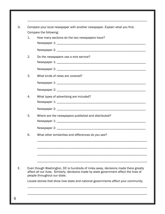| Compare your local newspaper with another newspaper. Explain what you find. |                                                                                                                                                                               |  |  |  |
|-----------------------------------------------------------------------------|-------------------------------------------------------------------------------------------------------------------------------------------------------------------------------|--|--|--|
| 1.                                                                          | Compare the following:<br>How many sections do the two newspapers have?                                                                                                       |  |  |  |
|                                                                             |                                                                                                                                                                               |  |  |  |
| 2.                                                                          | Do the newspapers use a wire service?                                                                                                                                         |  |  |  |
|                                                                             |                                                                                                                                                                               |  |  |  |
| 3.                                                                          | What kinds of news are covered?                                                                                                                                               |  |  |  |
|                                                                             |                                                                                                                                                                               |  |  |  |
|                                                                             |                                                                                                                                                                               |  |  |  |
| 4.                                                                          | What types of advertising are included?                                                                                                                                       |  |  |  |
|                                                                             |                                                                                                                                                                               |  |  |  |
| 5.                                                                          | Where are the newspapers published and distributed?                                                                                                                           |  |  |  |
|                                                                             |                                                                                                                                                                               |  |  |  |
| 6.                                                                          | What other similarities and differences do you see?                                                                                                                           |  |  |  |
|                                                                             |                                                                                                                                                                               |  |  |  |
|                                                                             | Even though Washington, DC is hundreds of miles away, decisions made there greatly<br>affect all our lives. Similarly, decisions made by state government affect the lives of |  |  |  |
|                                                                             | people throughout our state.                                                                                                                                                  |  |  |  |
|                                                                             |                                                                                                                                                                               |  |  |  |

\_\_\_\_\_\_\_\_\_\_\_\_\_\_\_\_\_\_\_\_\_\_\_\_\_\_\_\_\_\_\_\_\_\_\_\_\_\_\_\_\_\_\_\_\_\_\_\_\_\_\_\_\_\_\_\_\_\_\_\_\_\_\_\_\_\_\_\_\_\_\_\_\_\_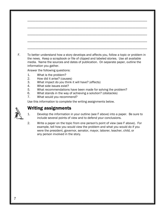|                                  | To better understand how a story develops and affects you, follow a topic or problem in<br>the news. Keep a scrapbook or file of clipped and labeled stories. Use all available<br>media. Name the sources and dates of publication. On separate paper, outline the<br>information you gather.<br>Answer the following questions: |
|----------------------------------|-----------------------------------------------------------------------------------------------------------------------------------------------------------------------------------------------------------------------------------------------------------------------------------------------------------------------------------|
| 1.<br>2.<br>3.<br>4.<br>5.<br>6. | What is the problem?<br>How did it arise? (causes)<br>What impact do you think it will have? (effects)<br>What side issues exist?<br>What recommendations have been made for solving the problem?<br>What stands in the way of achieving a solution? (obstacles)                                                                  |
| 7.                               | What would you recommend?<br>Use this information to complete the writing assignments below.                                                                                                                                                                                                                                      |
|                                  | <b>Writing assignments</b>                                                                                                                                                                                                                                                                                                        |
| 1.                               | Develop the information in your outline (see F above) into a paper. Be sure to<br>include several points of view and to defend your conclusions.                                                                                                                                                                                  |
| 2.                               | Write a paper on the topic from one person's point of view (see F above). For<br>example, tell how you would view the problem and what you would do if you<br>were the president, governor, senator, mayor, laborer, teacher, child, or<br>any person involved in the story.                                                      |
|                                  |                                                                                                                                                                                                                                                                                                                                   |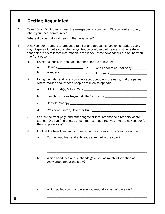# II. Getting Acquainted

A. Take 10 or 15 minutes to read the newspaper on your own. Did you read anything about your local community?

Where did you find local news in the newspaper?

- B. A newspaper attempts to present a familiar and appealing face to its readers every day. Papers without a consistent organization confuse their readers. One feature that helps readers locate information is the index. Most newspapers run an index on the front page.
	- 1. Using the index, list the page numbers for the following:
- a. Comics \_\_\_\_\_\_\_\_\_\_\_\_\_\_\_\_\_\_\_ c. Ann Landers or Dear Abby \_\_\_\_\_\_\_\_\_\_ b. Want ads \_\_\_\_\_\_\_\_\_\_\_\_\_\_ d. Editorials \_\_\_\_\_\_\_\_\_\_\_\_\_\_\_\_\_\_\_\_\_\_\_
	- 2. Using the index and what you know about people in the news, find the pages where stories about these people are likely to appear:
		- a. Bill Guthridge, Mike O'Cain **Example 2008**
		- b. Everybody Loves Raymond, The Simpsons \_\_\_\_\_\_\_\_\_\_\_\_\_\_\_\_\_\_\_\_\_\_\_\_\_\_
		- c. Garfield, Snoopy **and Southern Containers** and Southern Containers and Southern Containers and Southern Containers and Southern Containers and Southern Containers and Southern Containers and Southern Containers and Sout
		- d. President Clinton, Governor Hunt \_\_\_\_\_\_\_\_\_\_\_\_\_\_\_\_\_\_\_\_\_\_\_\_\_\_\_\_\_\_\_\_\_
	- 3. Search the front page and other pages for features that help readers locate stories. Did you find photos or summaries that direct you into the newspaper for the complete story?
	- 4. Look at the headlines and subheads on the stories in your favorite section.

\_\_\_\_\_\_\_\_\_\_\_\_\_\_\_\_\_\_\_\_\_\_\_\_\_\_\_\_\_\_\_\_\_\_\_\_\_\_\_\_\_\_\_\_\_\_\_\_\_\_\_\_\_\_\_\_\_\_\_\_\_\_

\_\_\_\_\_\_\_\_\_\_\_\_\_\_\_\_\_\_\_\_\_\_\_\_\_\_\_\_\_\_\_\_\_\_\_\_\_\_\_\_\_\_\_\_\_\_\_\_\_\_\_\_\_\_\_\_\_\_\_\_\_\_

\_\_\_\_\_\_\_\_\_\_\_\_\_\_\_\_\_\_\_\_\_\_\_\_\_\_\_\_\_\_\_\_\_\_\_\_\_\_\_\_\_\_\_\_\_\_\_\_\_\_\_\_\_\_\_\_\_\_\_\_\_\_

\_\_\_\_\_\_\_\_\_\_\_\_\_\_\_\_\_\_\_\_\_\_\_\_\_\_\_\_\_\_\_\_\_\_\_\_\_\_\_\_\_\_\_\_\_\_\_\_\_\_\_\_\_\_\_\_\_\_\_\_\_\_

\_\_\_\_\_\_\_\_\_\_\_\_\_\_\_\_\_\_\_\_\_\_\_\_\_\_\_\_\_\_\_\_\_\_\_\_\_\_\_\_\_\_\_\_\_\_\_\_\_\_\_\_\_\_\_\_\_\_\_\_\_\_

\_\_\_\_\_\_\_\_\_\_\_\_\_\_\_\_\_\_\_\_\_\_\_\_\_\_\_\_\_\_\_\_\_\_\_\_\_\_\_\_\_\_\_\_\_\_\_\_\_\_\_\_\_\_\_\_\_\_\_\_\_\_

- a. Do the headlines and subheads summarize the story?
- b. Which headlines and subheads gave you as much information as you wanted about the story?

c. Which pulled you in and made you read all or part of the story?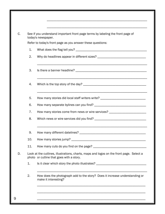|     | See if you understand important front page terms by labeling the front page of                                                      |
|-----|-------------------------------------------------------------------------------------------------------------------------------------|
|     | today's newspaper.                                                                                                                  |
|     | Refer to today's front page as you answer these questions:                                                                          |
| 1.  |                                                                                                                                     |
| 2.  |                                                                                                                                     |
| 3.  |                                                                                                                                     |
| 4.  |                                                                                                                                     |
| 5.  | How many stories did local staff writers write? ________________________________                                                    |
| 6.  |                                                                                                                                     |
| 7.  | How many stories come from news or wire services? ______________________________                                                    |
| 8.  |                                                                                                                                     |
| 9.  |                                                                                                                                     |
| 10. |                                                                                                                                     |
| 11. |                                                                                                                                     |
|     | Look at the cutlines, illustrations, charts, maps and logos on the front page. Select a<br>photo or cutline that goes with a story. |
| 1.  | Is it clear which story the photo illustrates? _________________________________                                                    |
| 2.  | How does the photograph add to the story? Does it increase understanding or<br>make it interesting?                                 |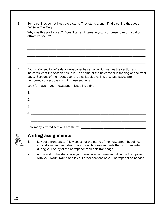|                | Some cutlines do not illustrate a story. They stand alone. Find a cutline that does<br>not go with a story.                                                                                                                                                                                                 |
|----------------|-------------------------------------------------------------------------------------------------------------------------------------------------------------------------------------------------------------------------------------------------------------------------------------------------------------|
|                | Why was this photo used? Does it tell an interesting story or present an unusual or<br>attractive scene?                                                                                                                                                                                                    |
|                |                                                                                                                                                                                                                                                                                                             |
|                |                                                                                                                                                                                                                                                                                                             |
|                | Each major section of a daily newspaper has a flag which names the section and<br>indicates what the section has in it. The name of the newspaper is the flag on the front<br>page. Sections of the newspaper are also labeled A, B, C etc., and pages are<br>numbered consecutively within these sections. |
|                | Look for flags in your newspaper. List all you find.                                                                                                                                                                                                                                                        |
|                |                                                                                                                                                                                                                                                                                                             |
|                |                                                                                                                                                                                                                                                                                                             |
|                |                                                                                                                                                                                                                                                                                                             |
|                |                                                                                                                                                                                                                                                                                                             |
|                |                                                                                                                                                                                                                                                                                                             |
|                |                                                                                                                                                                                                                                                                                                             |
|                |                                                                                                                                                                                                                                                                                                             |
|                |                                                                                                                                                                                                                                                                                                             |
|                |                                                                                                                                                                                                                                                                                                             |
|                | <b>Writing assignments</b>                                                                                                                                                                                                                                                                                  |
| $\mathbf{1}$ . | Lay out a front page. Allow space for the name of the newspaper, headlines,<br>cuts, stories and an index. Save the writing assignments that you complete                                                                                                                                                   |

 2. At the end of the study, give your newspaper a name and fill in the front page with your work. Name and lay out other sections of your newspaper as needed.

during your study of the newspaper to fill this front page.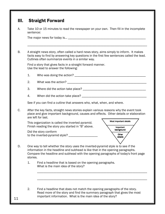|    | Take 10 or 15 minutes to read the newspaper on your own. Then fill in the incomplete<br>sentence:                                                                                                                                                                       |
|----|-------------------------------------------------------------------------------------------------------------------------------------------------------------------------------------------------------------------------------------------------------------------------|
|    |                                                                                                                                                                                                                                                                         |
|    | A straight news story, often called a hard news story, aims simply to inform. It makes<br>facts easy to find by answering key questions in the first few sentences called the lead.<br>Cutlines often summarize events in a similar way.                                |
|    | Find a story that gives facts in a straight forward manner.<br>Use the lead to answer the following:                                                                                                                                                                    |
| 1. |                                                                                                                                                                                                                                                                         |
| 2. |                                                                                                                                                                                                                                                                         |
| 3. |                                                                                                                                                                                                                                                                         |
| 4. |                                                                                                                                                                                                                                                                         |
|    | See if you can find a cutline that answers who, what, when, and where.                                                                                                                                                                                                  |
|    | After the key facts, straight news stories explain various reasons why the event took<br>place and give important background, causes and effects. Other details or elaboration<br>are left for last.                                                                    |
|    | Most important details<br>This organization is called the inverted pyramid.<br>Finish reading the story you started in "B" above.<br>Important                                                                                                                          |
|    | background<br>Did the story conform<br>Other<br>to the inverted-pyramid style? ____________<br>details                                                                                                                                                                  |
|    | One way to tell whether the story uses the inverted-pyramid style is to see if the<br>information in the headline and subhead is like that in the opening paragraphs.<br>Compare the headline and subhead with the opening paragraphs of today's front page<br>stories. |
| 1. | Find a headline that is based on the opening paragraphs.<br>What is the main idea of the story?                                                                                                                                                                         |
|    |                                                                                                                                                                                                                                                                         |
|    |                                                                                                                                                                                                                                                                         |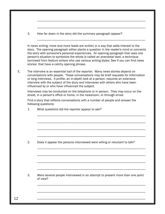3. How far down in the story did the summary paragraph appear?

\_\_\_\_\_\_\_\_\_\_\_\_\_\_\_\_\_\_\_\_\_\_\_\_\_\_\_\_\_\_\_\_\_\_\_\_\_\_\_\_\_\_\_\_\_\_\_\_\_\_\_\_\_\_\_\_\_\_\_\_\_\_\_\_\_\_\_

\_\_\_\_\_\_\_\_\_\_\_\_\_\_\_\_\_\_\_\_\_\_\_\_\_\_\_\_\_\_\_\_\_\_\_\_\_\_\_\_\_\_\_\_\_\_\_\_\_\_\_\_\_\_\_\_\_\_\_\_\_\_\_\_\_\_\_

\_\_\_\_\_\_\_\_\_\_\_\_\_\_\_\_\_\_\_\_\_\_\_\_\_\_\_\_\_\_\_\_\_\_\_\_\_\_\_\_\_\_\_\_\_\_\_\_\_\_\_\_\_\_\_\_\_\_\_\_\_\_\_\_\_\_\_

 In news writing, more and more leads are written in a way that adds interest to the story. The opening paragraph either plants a question in the reader's mind or connects the story with someone's personal experiences. An opening paragraph that uses one person's situation to symbolize the whole is called an anecdotal lead, a technique borrowed from feature writers who use various writing styles. See if you can find news stories that have a catchy opening phrase.

E. The interview is an essential tool of the reporter. Many news stories depend on conversations with people. These conversations may be brief requests for information or long interviews. A profile, an in-depth look at a person, requires an extensive interview with the subject of the story and interviews with others who have been influenced by or who have influenced the subject.

 Interviews may be conducted on the telephone or in person. They may occur on the street, in a person's office or home, in the newsroom, or through email.

 Find a story that reflects conversations with a number of people and answer the following questions:

\_\_\_\_\_\_\_\_\_\_\_\_\_\_\_\_\_\_\_\_\_\_\_\_\_\_\_\_\_\_\_\_\_\_\_\_\_\_\_\_\_\_\_\_\_\_\_\_\_\_\_\_\_\_\_\_\_\_\_\_\_\_\_\_\_\_\_

\_\_\_\_\_\_\_\_\_\_\_\_\_\_\_\_\_\_\_\_\_\_\_\_\_\_\_\_\_\_\_\_\_\_\_\_\_\_\_\_\_\_\_\_\_\_\_\_\_\_\_\_\_\_\_\_\_\_\_\_\_\_\_\_\_\_\_

\_\_\_\_\_\_\_\_\_\_\_\_\_\_\_\_\_\_\_\_\_\_\_\_\_\_\_\_\_\_\_\_\_\_\_\_\_\_\_\_\_\_\_\_\_\_\_\_\_\_\_\_\_\_\_\_\_\_\_\_\_\_\_\_\_\_\_

\_\_\_\_\_\_\_\_\_\_\_\_\_\_\_\_\_\_\_\_\_\_\_\_\_\_\_\_\_\_\_\_\_\_\_\_\_\_\_\_\_\_\_\_\_\_\_\_\_\_\_\_\_\_\_\_\_\_\_\_\_\_\_\_\_\_\_

1. What questions did the reporter appear to ask?

2. Does it appear the persons interviewed were willing or reluctant to talk?

\_\_\_\_\_\_\_\_\_\_\_\_\_\_\_\_\_\_\_\_\_\_\_\_\_\_\_\_\_\_\_\_\_\_\_\_\_\_\_\_\_\_\_\_\_\_\_\_\_\_\_\_\_\_\_\_\_\_\_\_\_\_\_\_\_\_\_

\_\_\_\_\_\_\_\_\_\_\_\_\_\_\_\_\_\_\_\_\_\_\_\_\_\_\_\_\_\_\_\_\_\_\_\_\_\_\_\_\_\_\_\_\_\_\_\_\_\_\_\_\_\_\_\_\_\_\_\_\_\_\_\_\_\_\_

\_\_\_\_\_\_\_\_\_\_\_\_\_\_\_\_\_\_\_\_\_\_\_\_\_\_\_\_\_\_\_\_\_\_\_\_\_\_\_\_\_\_\_\_\_\_\_\_\_\_\_\_\_\_\_\_\_\_\_\_\_\_\_\_\_\_\_

\_\_\_\_\_\_\_\_\_\_\_\_\_\_\_\_\_\_\_\_\_\_\_\_\_\_\_\_\_\_\_\_\_\_\_\_\_\_\_\_\_\_\_\_\_\_\_\_\_\_\_\_\_\_\_\_\_\_\_\_\_\_\_\_\_\_\_

\_\_\_\_\_\_\_\_\_\_\_\_\_\_\_\_\_\_\_\_\_\_\_\_\_\_\_\_\_\_\_\_\_\_\_\_\_\_\_\_\_\_\_\_\_\_\_\_\_\_\_\_\_\_\_\_\_\_\_\_\_\_\_\_\_\_\_

\_\_\_\_\_\_\_\_\_\_\_\_\_\_\_\_\_\_\_\_\_\_\_\_\_\_\_\_\_\_\_\_\_\_\_\_\_\_\_\_\_\_\_\_\_\_\_\_\_\_\_\_\_\_\_\_\_\_\_\_\_\_\_\_\_\_\_

 3. Were several people interviewed in an attempt to present more than one point of view?

12 \_\_\_\_\_\_\_\_\_\_\_\_\_\_\_\_\_\_\_\_\_\_\_\_\_\_\_\_\_\_\_\_\_\_\_\_\_\_\_\_\_\_\_\_\_\_\_\_\_\_\_\_\_\_\_\_\_\_\_\_\_\_\_\_\_\_\_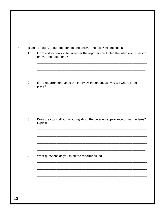| F. |    | Examine a story about one person and answer the following questions:                                       |
|----|----|------------------------------------------------------------------------------------------------------------|
|    | 1. | From a story can you tell whether the reporter conducted the interview in person<br>or over the telephone? |
|    | 2. |                                                                                                            |
|    |    | If the reporter conducted the interview in person, can you tell where it took<br>place?                    |
|    |    |                                                                                                            |
|    | 3. | Does the story tell you anything about the person's appearance or mannerisms?<br>Explain.                  |
|    |    |                                                                                                            |
|    | 4. | What questions do you think the reporter asked?                                                            |
|    |    |                                                                                                            |
|    |    |                                                                                                            |
|    |    |                                                                                                            |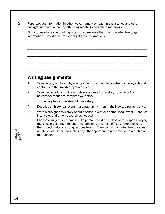G. Reporters get information in other ways, namely by reading past stories and other background material and by attending meetings and other gatherings.

 Find stories where you think reporters used means other than the interview to get information. How did the reporters get their information?

\_\_\_\_\_\_\_\_\_\_\_\_\_\_\_\_\_\_\_\_\_\_\_\_\_\_\_\_\_\_\_\_\_\_\_\_\_\_\_\_\_\_\_\_\_\_\_\_\_\_\_\_\_\_\_\_\_\_\_\_\_\_\_\_\_\_\_\_\_\_\_\_\_\_

\_\_\_\_\_\_\_\_\_\_\_\_\_\_\_\_\_\_\_\_\_\_\_\_\_\_\_\_\_\_\_\_\_\_\_\_\_\_\_\_\_\_\_\_\_\_\_\_\_\_\_\_\_\_\_\_\_\_\_\_\_\_\_\_\_\_\_\_\_\_\_\_\_\_

\_\_\_\_\_\_\_\_\_\_\_\_\_\_\_\_\_\_\_\_\_\_\_\_\_\_\_\_\_\_\_\_\_\_\_\_\_\_\_\_\_\_\_\_\_\_\_\_\_\_\_\_\_\_\_\_\_\_\_\_\_\_\_\_\_\_\_\_\_\_\_\_\_\_

\_\_\_\_\_\_\_\_\_\_\_\_\_\_\_\_\_\_\_\_\_\_\_\_\_\_\_\_\_\_\_\_\_\_\_\_\_\_\_\_\_\_\_\_\_\_\_\_\_\_\_\_\_\_\_\_\_\_\_\_\_\_\_\_\_\_\_\_\_\_\_\_\_\_

\_\_\_\_\_\_\_\_\_\_\_\_\_\_\_\_\_\_\_\_\_\_\_\_\_\_\_\_\_\_\_\_\_\_\_\_\_\_\_\_\_\_\_\_\_\_\_\_\_\_\_\_\_\_\_\_\_\_\_\_\_\_\_\_\_\_\_\_\_\_\_\_\_\_

- 1. Take facts given to you by your teacher. Use them to construct a paragraph that conforms to the inverted-pyramid style.
- 2. Take the facts in a cutline and develop these into a story. Use facts from newspaper stories to complete your story.
- 3. Turn a fairy tale into a straight news story.
- 4. Describe an historical event in a paragraph written in the inverted-pyramid style.
- 5. Write a straight news story about a school event or another local event. Conduct interviews and other research as needed.
- 6. Choose a subject for a profile. The person could be a classmate, a sports player, the class president, a teacher, the principal, or a local official. After choosing the subject, write a list of questions to ask. Then conduct an interview or series of interviews. After conducting any other appropriate research, write a profile on that person.

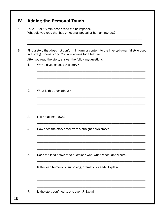|    | Take 10 or 15 minutes to read the newspaper.<br>What did you read that has emotional appeal or human interest?                                       |
|----|------------------------------------------------------------------------------------------------------------------------------------------------------|
|    | Find a story that does not conform in form or content to the inverted-pyramid style used<br>in a straight news story. You are looking for a feature. |
|    | After you read the story, answer the following questions:                                                                                            |
| 1. | Why did you choose this story?                                                                                                                       |
| 2. | What is this story about?                                                                                                                            |
| 3. | Is it breaking news?                                                                                                                                 |
| 4. | How does the story differ from a straight news story?                                                                                                |
| 5. | Does the lead answer the questions who, what, when, and where?                                                                                       |
| 6. | Is the lead humorous, surprising, dramatic, or sad? Explain.                                                                                         |
|    |                                                                                                                                                      |
| 7. | Is the story confined to one event? Explain.                                                                                                         |

15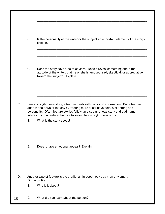|    | 8.             | Is the personality of the writer or the subject an important element of the story?<br>Explain.                                                                                                                                                                                                                                         |
|----|----------------|----------------------------------------------------------------------------------------------------------------------------------------------------------------------------------------------------------------------------------------------------------------------------------------------------------------------------------------|
|    |                |                                                                                                                                                                                                                                                                                                                                        |
|    | 9.             | Does the story have a point of view? Does it reveal something about the<br>attitude of the writer, that he or she is amused, sad, skeptical, or appreciative<br>toward the subject? Explain.                                                                                                                                           |
|    |                |                                                                                                                                                                                                                                                                                                                                        |
| C. |                | Like a straight news story, a feature deals with facts and information. But a feature<br>adds to the news of the day by offering more descriptive details of setting and<br>personality. Often feature stories follow up a straight news story and add human<br>interest. Find a feature that is a follow-up to a straight news story. |
|    | $\mathbf{1}$ . | What is the story about?                                                                                                                                                                                                                                                                                                               |
|    |                |                                                                                                                                                                                                                                                                                                                                        |
|    | 2.             | Does it have emotional appeal? Explain.                                                                                                                                                                                                                                                                                                |
|    |                |                                                                                                                                                                                                                                                                                                                                        |
| D. |                | Another type of feature is the profile, an in-depth look at a man or woman.<br>Find a profile.                                                                                                                                                                                                                                         |
|    | 1.             | Who is it about?                                                                                                                                                                                                                                                                                                                       |
| 16 | 2.             | What did you learn about the person?                                                                                                                                                                                                                                                                                                   |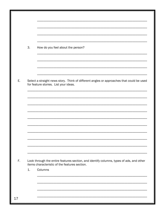|    | 3. | How do you feel about the person?                                                                                                        |
|----|----|------------------------------------------------------------------------------------------------------------------------------------------|
|    |    |                                                                                                                                          |
|    |    |                                                                                                                                          |
|    |    |                                                                                                                                          |
| Ε. |    | Select a straight news story. Think of different angles or approaches that could be used<br>for feature stories. List your ideas.        |
|    |    |                                                                                                                                          |
|    |    |                                                                                                                                          |
|    |    |                                                                                                                                          |
|    |    |                                                                                                                                          |
|    |    |                                                                                                                                          |
|    |    |                                                                                                                                          |
|    |    |                                                                                                                                          |
|    |    |                                                                                                                                          |
|    |    |                                                                                                                                          |
| F. |    | Look through the entire features section, and identify columns, types of ads, and other<br>items characteristic of the features section. |
|    | 1. | Columns                                                                                                                                  |
|    |    |                                                                                                                                          |
|    |    |                                                                                                                                          |
|    |    |                                                                                                                                          |
| 17 |    |                                                                                                                                          |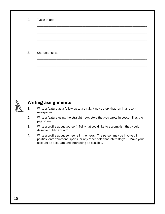| 2. | Types of ads                                                                                                                                                                                                      |
|----|-------------------------------------------------------------------------------------------------------------------------------------------------------------------------------------------------------------------|
|    |                                                                                                                                                                                                                   |
|    |                                                                                                                                                                                                                   |
| 3. | Characteristics                                                                                                                                                                                                   |
|    |                                                                                                                                                                                                                   |
|    |                                                                                                                                                                                                                   |
|    |                                                                                                                                                                                                                   |
|    | <b>Writing assignments</b>                                                                                                                                                                                        |
| 1. | Write a feature as a follow-up to a straight news story that ran in a recent<br>newspaper.                                                                                                                        |
| 2. | Write a feature using the straight news story that you wrote in Lesson II as the<br>peg or link.                                                                                                                  |
| 3. | Write a profile about yourself. Tell what you'd like to accomplish that would<br>deserve public acclaim.                                                                                                          |
| 4. | Write a profile about someone in the news. The person may be involved in<br>politics, entertainment, sports, or any other field that interests you. Make your<br>account as accurate and interesting as possible. |
|    |                                                                                                                                                                                                                   |
|    |                                                                                                                                                                                                                   |
|    |                                                                                                                                                                                                                   |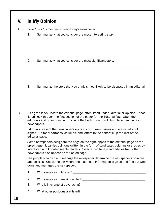| V. | <b>In My Opinion</b> |
|----|----------------------|
|----|----------------------|

| А. | Take 10 or 15 minutes to read today's newspaper. |
|----|--------------------------------------------------|
|    |                                                  |

1. Summarize what you consider the most interesting story.

\_\_\_\_\_\_\_\_\_\_\_\_\_\_\_\_\_\_\_\_\_\_\_\_\_\_\_\_\_\_\_\_\_\_\_\_\_\_\_\_\_\_\_\_\_\_\_\_\_\_\_\_\_\_\_\_\_\_\_\_\_\_\_\_\_\_\_

\_\_\_\_\_\_\_\_\_\_\_\_\_\_\_\_\_\_\_\_\_\_\_\_\_\_\_\_\_\_\_\_\_\_\_\_\_\_\_\_\_\_\_\_\_\_\_\_\_\_\_\_\_\_\_\_\_\_\_\_\_\_\_\_\_\_\_

\_\_\_\_\_\_\_\_\_\_\_\_\_\_\_\_\_\_\_\_\_\_\_\_\_\_\_\_\_\_\_\_\_\_\_\_\_\_\_\_\_\_\_\_\_\_\_\_\_\_\_\_\_\_\_\_\_\_\_\_\_\_\_\_\_\_\_

\_\_\_\_\_\_\_\_\_\_\_\_\_\_\_\_\_\_\_\_\_\_\_\_\_\_\_\_\_\_\_\_\_\_\_\_\_\_\_\_\_\_\_\_\_\_\_\_\_\_\_\_\_\_\_\_\_\_\_\_\_\_\_\_\_\_\_

\_\_\_\_\_\_\_\_\_\_\_\_\_\_\_\_\_\_\_\_\_\_\_\_\_\_\_\_\_\_\_\_\_\_\_\_\_\_\_\_\_\_\_\_\_\_\_\_\_\_\_\_\_\_\_\_\_\_\_\_\_\_\_\_\_\_\_

\_\_\_\_\_\_\_\_\_\_\_\_\_\_\_\_\_\_\_\_\_\_\_\_\_\_\_\_\_\_\_\_\_\_\_\_\_\_\_\_\_\_\_\_\_\_\_\_\_\_\_\_\_\_\_\_\_\_\_\_\_\_\_\_\_\_\_

\_\_\_\_\_\_\_\_\_\_\_\_\_\_\_\_\_\_\_\_\_\_\_\_\_\_\_\_\_\_\_\_\_\_\_\_\_\_\_\_\_\_\_\_\_\_\_\_\_\_\_\_\_\_\_\_\_\_\_\_\_\_\_\_\_\_\_

\_\_\_\_\_\_\_\_\_\_\_\_\_\_\_\_\_\_\_\_\_\_\_\_\_\_\_\_\_\_\_\_\_\_\_\_\_\_\_\_\_\_\_\_\_\_\_\_\_\_\_\_\_\_\_\_\_\_\_\_\_\_\_\_\_\_\_

\_\_\_\_\_\_\_\_\_\_\_\_\_\_\_\_\_\_\_\_\_\_\_\_\_\_\_\_\_\_\_\_\_\_\_\_\_\_\_\_\_\_\_\_\_\_\_\_\_\_\_\_\_\_\_\_\_\_\_\_\_\_\_\_\_\_\_

2. Summarize what you consider the most significant story.

3. Summarize the story that you think is most likely to be discussed in an editorial.

B. Using the index, locate the editorial page, often listed under Editorial or Opinion. If not listed, look through the first section of the paper for the Editorial flag. Often the editorials and other opinion run inside the back of section A, but placement varies in newspapers.

 Editorials present the newspaper's opinions on current issues and are usually not signed. Editorial cartoons, columns, and letters to the editor fill up the rest of the editorial page.

 Some newspapers designate the page on the right, opposite the editorial page as the op-ed page. It carries opinions written in the form of syndicated columns or articles by interested and knowledgeable readers. Selected editorials and articles from other newspapers also appear on the op-ed page.

 The people who own and manage the newspaper determine the newspaper's opinions and policies. Check the box where the masthead information is given and find out who owns and manages the newspaper.

|    | Who serves as publisher?           |
|----|------------------------------------|
|    | Who serves as managing editor?     |
| 3. | Who is in charge of advertising? _ |
| 4. | What other positions are listed?   |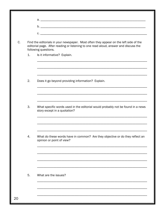|    | Find the editorials in your newspaper. Most often they appear on the left side of the<br>editorial page. After reading or listening to one read aloud, answer and discuss the<br>following questions. |
|----|-------------------------------------------------------------------------------------------------------------------------------------------------------------------------------------------------------|
| 1. | Is it informative? Explain.                                                                                                                                                                           |
|    |                                                                                                                                                                                                       |
| 2. | Does it go beyond providing information? Explain.                                                                                                                                                     |
|    |                                                                                                                                                                                                       |
| 3. | What specific words used in the editorial would probably not be found in a news<br>story except in a quotation?                                                                                       |
|    |                                                                                                                                                                                                       |
| 4. | What do these words have in common? Are they objective or do they reflect an<br>opinion or point of view?                                                                                             |
|    |                                                                                                                                                                                                       |
|    |                                                                                                                                                                                                       |
| 5. | What are the issues?                                                                                                                                                                                  |
|    |                                                                                                                                                                                                       |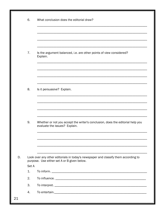|    | 6.    | What conclusion does the editorial draw?                                                                                          |
|----|-------|-----------------------------------------------------------------------------------------------------------------------------------|
|    |       |                                                                                                                                   |
|    |       |                                                                                                                                   |
|    |       |                                                                                                                                   |
|    | 7.    | Is the argument balanced, i.e. are other points of view considered?<br>Explain.                                                   |
|    |       |                                                                                                                                   |
|    |       |                                                                                                                                   |
|    |       |                                                                                                                                   |
|    | 8.    | Is it persuasive? Explain.                                                                                                        |
|    |       |                                                                                                                                   |
|    |       |                                                                                                                                   |
|    |       |                                                                                                                                   |
|    | 9.    | Whether or not you accept the writer's conclusion, does the editorial help you<br>evaluate the issues? Explain.                   |
|    |       |                                                                                                                                   |
|    |       |                                                                                                                                   |
|    |       |                                                                                                                                   |
| D. |       | Look over any other editorials in today's newspaper and classify them according to<br>purpose. Use either set A or B given below. |
|    | Set A |                                                                                                                                   |
|    | 1.    |                                                                                                                                   |
|    | 2.    |                                                                                                                                   |
|    | 3.    |                                                                                                                                   |
|    | 4.    |                                                                                                                                   |
| 21 |       |                                                                                                                                   |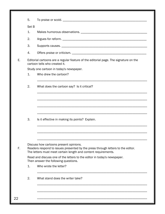| Set B<br>1.<br>2.<br>3.<br>4.<br>Editorial cartoons are a regular feature of the editorial page. The signature on the<br>cartoon tells who created it.<br>Study one cartoon in today's newspaper.<br>1.<br>Who drew the cartoon?<br>2.<br>What does the cartoon say? Is it critical?<br>3.<br>Is it effective in making its points? Explain.<br>Discuss how cartoons present opinions.<br>Readers respond to issues presented by the press through letters to the editor.<br>The letters must meet certain length and content requirements.<br>Read and discuss one of the letters to the editor in today's newspaper.<br>Then answer the following questions. | 5. |                       |
|----------------------------------------------------------------------------------------------------------------------------------------------------------------------------------------------------------------------------------------------------------------------------------------------------------------------------------------------------------------------------------------------------------------------------------------------------------------------------------------------------------------------------------------------------------------------------------------------------------------------------------------------------------------|----|-----------------------|
|                                                                                                                                                                                                                                                                                                                                                                                                                                                                                                                                                                                                                                                                |    |                       |
|                                                                                                                                                                                                                                                                                                                                                                                                                                                                                                                                                                                                                                                                |    |                       |
|                                                                                                                                                                                                                                                                                                                                                                                                                                                                                                                                                                                                                                                                |    |                       |
|                                                                                                                                                                                                                                                                                                                                                                                                                                                                                                                                                                                                                                                                |    |                       |
|                                                                                                                                                                                                                                                                                                                                                                                                                                                                                                                                                                                                                                                                |    |                       |
|                                                                                                                                                                                                                                                                                                                                                                                                                                                                                                                                                                                                                                                                |    |                       |
|                                                                                                                                                                                                                                                                                                                                                                                                                                                                                                                                                                                                                                                                |    |                       |
|                                                                                                                                                                                                                                                                                                                                                                                                                                                                                                                                                                                                                                                                |    |                       |
|                                                                                                                                                                                                                                                                                                                                                                                                                                                                                                                                                                                                                                                                |    |                       |
|                                                                                                                                                                                                                                                                                                                                                                                                                                                                                                                                                                                                                                                                |    |                       |
|                                                                                                                                                                                                                                                                                                                                                                                                                                                                                                                                                                                                                                                                |    |                       |
|                                                                                                                                                                                                                                                                                                                                                                                                                                                                                                                                                                                                                                                                |    |                       |
|                                                                                                                                                                                                                                                                                                                                                                                                                                                                                                                                                                                                                                                                |    |                       |
|                                                                                                                                                                                                                                                                                                                                                                                                                                                                                                                                                                                                                                                                |    |                       |
|                                                                                                                                                                                                                                                                                                                                                                                                                                                                                                                                                                                                                                                                | 1. | Who wrote the letter? |
| 2.<br>What stand does the writer take?                                                                                                                                                                                                                                                                                                                                                                                                                                                                                                                                                                                                                         |    |                       |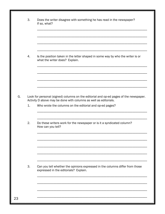| 3. | Does the writer disagree with something he has read in the newspaper?<br>If so, what?                                                                     |
|----|-----------------------------------------------------------------------------------------------------------------------------------------------------------|
|    |                                                                                                                                                           |
| 4. | Is the position taken in the letter shaped in some way by who the writer is or<br>what the writer does? Explain.                                          |
|    |                                                                                                                                                           |
|    | Look for personal (signed) columns on the editorial and op-ed pages of the newspaper.<br>Activity D above may be done with columns as well as editorials. |
| 1. | Who wrote the columns on the editorial and op-ed pages?                                                                                                   |
| 2. | Do these writers work for the newspaper or is it a syndicated column?<br>How can you tell?                                                                |
|    |                                                                                                                                                           |
| 3. | Can you tell whether the opinions expressed in the columns differ from those                                                                              |
|    | expressed in the editorials? Explain.                                                                                                                     |
|    |                                                                                                                                                           |
|    |                                                                                                                                                           |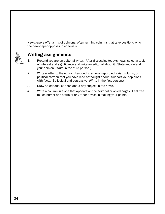|    | Newspapers offer a mix of opinions, often running columns that take positions which<br>the newspaper opposes in editorials.                                                                                                          |
|----|--------------------------------------------------------------------------------------------------------------------------------------------------------------------------------------------------------------------------------------|
|    | <b>Writing assignments</b>                                                                                                                                                                                                           |
|    | Pretend you are an editorial writer. After discussing today's news, select a topic<br>of interest and significance and write an editorial about it. State and defend<br>your opinion. (Write in the third person.)                   |
| 2. | Write a letter to the editor. Respond to a news report, editorial, column, or<br>political cartoon that you have read or thought about. Support your opinions<br>with facts. Be logical and persuasive. (Write in the first person.) |
| 3. | Draw an editorial cartoon about any subject in the news.                                                                                                                                                                             |
| 4. | Write a column like one that appears on the editorial or op-ed pages. Feel free<br>to use humor and satire or any other device in making your points.                                                                                |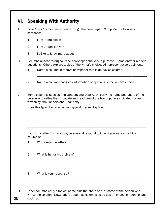# VI. Speaking With Authority

- A. Take 10 or 15 minutes to read through the newspaper. Complete the following sentences:
	- 1. I am interested in \_\_\_\_\_\_\_\_\_\_\_\_\_\_\_\_\_\_\_\_\_\_\_\_\_\_\_\_\_\_\_\_\_\_\_\_\_\_\_\_\_\_\_\_\_\_\_\_\_\_\_\_
	- 2. I am unfamiliar with \_\_\_\_\_\_\_\_\_\_\_\_\_\_\_\_\_\_\_\_\_\_\_\_\_\_\_\_\_\_\_\_\_\_\_\_\_\_\_\_\_\_\_\_\_\_\_\_\_\_
	- 3. I'd like to know more about  $\Box$

B. Columns appear throughout the newspaper and vary in purpose. Some answer readers' questions. Others explore topics of the writer's choice. All represent expert opinions.

\_\_\_\_\_\_\_\_\_\_\_\_\_\_\_\_\_\_\_\_\_\_\_\_\_\_\_\_\_\_\_\_\_\_\_\_\_\_\_\_\_\_\_\_\_\_\_\_\_\_\_\_\_\_\_\_\_\_\_\_\_\_\_\_\_\_\_\_

\_\_\_\_\_\_\_\_\_\_\_\_\_\_\_\_\_\_\_\_\_\_\_\_\_\_\_\_\_\_\_\_\_\_\_\_\_\_\_\_\_\_\_\_\_\_\_\_\_\_\_\_\_\_\_\_\_\_\_\_\_\_\_\_\_\_\_\_

- 1. Name a column in today's newspaper that is an advice column.
- 2. Name a column that gives information or opinions of the writer's choice.

C. Some columns, such as Ann Landers and Dear Abby, carry the name and photo of the person who writes them. Locate and read one of the two popular syndicated column written by Ann Landers and Dear Abby.

\_\_\_\_\_\_\_\_\_\_\_\_\_\_\_\_\_\_\_\_\_\_\_\_\_\_\_\_\_\_\_\_\_\_\_\_\_\_\_\_\_\_\_\_\_\_\_\_\_\_\_\_\_\_\_\_\_\_\_\_\_\_\_\_\_\_\_\_\_\_\_\_\_\_

\_\_\_\_\_\_\_\_\_\_\_\_\_\_\_\_\_\_\_\_\_\_\_\_\_\_\_\_\_\_\_\_\_\_\_\_\_\_\_\_\_\_\_\_\_\_\_\_\_\_\_\_\_\_\_\_\_\_\_\_\_\_\_\_\_\_\_\_\_\_\_\_\_\_

\_\_\_\_\_\_\_\_\_\_\_\_\_\_\_\_\_\_\_\_\_\_\_\_\_\_\_\_\_\_\_\_\_\_\_\_\_\_\_\_\_\_\_\_\_\_\_\_\_\_\_\_\_\_\_\_\_\_\_\_\_\_\_\_\_\_\_\_\_\_\_\_\_\_

Does this type of advice column appeal to you? Explain.

 Look for a letter from a young person and respond to it, as if you were an advice columnist.

\_\_\_\_\_\_\_\_\_\_\_\_\_\_\_\_\_\_\_\_\_\_\_\_\_\_\_\_\_\_\_\_\_\_\_\_\_\_\_\_\_\_\_\_\_\_\_\_\_\_\_\_\_\_\_\_\_\_\_\_\_\_\_\_\_\_\_\_

\_\_\_\_\_\_\_\_\_\_\_\_\_\_\_\_\_\_\_\_\_\_\_\_\_\_\_\_\_\_\_\_\_\_\_\_\_\_\_\_\_\_\_\_\_\_\_\_\_\_\_\_\_\_\_\_\_\_\_\_\_\_\_\_\_\_\_\_

\_\_\_\_\_\_\_\_\_\_\_\_\_\_\_\_\_\_\_\_\_\_\_\_\_\_\_\_\_\_\_\_\_\_\_\_\_\_\_\_\_\_\_\_\_\_\_\_\_\_\_\_\_\_\_\_\_\_\_\_\_\_\_\_\_\_\_\_

\_\_\_\_\_\_\_\_\_\_\_\_\_\_\_\_\_\_\_\_\_\_\_\_\_\_\_\_\_\_\_\_\_\_\_\_\_\_\_\_\_\_\_\_\_\_\_\_\_\_\_\_\_\_\_\_\_\_\_\_\_\_\_\_\_\_\_\_

\_\_\_\_\_\_\_\_\_\_\_\_\_\_\_\_\_\_\_\_\_\_\_\_\_\_\_\_\_\_\_\_\_\_\_\_\_\_\_\_\_\_\_\_\_\_\_\_\_\_\_\_\_\_\_\_\_\_\_\_\_\_\_\_\_\_\_\_

- 1. Who wrote the letter?
- 2. What is her or his problem?

3. What is your response?

D. Other columns carry a topical name plus the photo and/or name of the person who writes the column. News briefs appear as columns as do tips on bridge, gardening, and 25 cooking.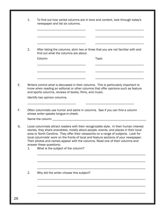|    | newspaper and list six columns.                                                                                                                                                                                                                                                                                                                                                                                                                                                                                     |  |
|----|---------------------------------------------------------------------------------------------------------------------------------------------------------------------------------------------------------------------------------------------------------------------------------------------------------------------------------------------------------------------------------------------------------------------------------------------------------------------------------------------------------------------|--|
|    |                                                                                                                                                                                                                                                                                                                                                                                                                                                                                                                     |  |
| 2. | After listing the columns, skim two or three that you are not familiar with and<br>find out what the columns are about.                                                                                                                                                                                                                                                                                                                                                                                             |  |
|    | Column<br><b>Topic</b>                                                                                                                                                                                                                                                                                                                                                                                                                                                                                              |  |
|    |                                                                                                                                                                                                                                                                                                                                                                                                                                                                                                                     |  |
|    | Writers control what is discussed in their columns. This is particularly important to<br>know when reading an editorial or other columns that offer opinions such as feature<br>and sports columns, reviews of books, films, and music.                                                                                                                                                                                                                                                                             |  |
|    | Identify two opinion columns.                                                                                                                                                                                                                                                                                                                                                                                                                                                                                       |  |
|    |                                                                                                                                                                                                                                                                                                                                                                                                                                                                                                                     |  |
|    | Often columnists use humor and satire in columns. See if you can find a column                                                                                                                                                                                                                                                                                                                                                                                                                                      |  |
|    | whose writer speaks tongue-in-cheek.                                                                                                                                                                                                                                                                                                                                                                                                                                                                                |  |
| 1. | Local columnists attract readers with their recognizable style. In their human interest<br>stories, they share anecdotes, mostly about people, events, and places in their local<br>area or North Carolina. They offer their viewpoints on a range of subjects. Look for<br>local columnists' work on the fronts of local and feature sections of your newspaper.<br>Their photos and names appear with the columns. Read one of their columns and<br>answer these questions:<br>What is the subject of the column? |  |
|    |                                                                                                                                                                                                                                                                                                                                                                                                                                                                                                                     |  |
| 2. | Why did the writer choose this subject?                                                                                                                                                                                                                                                                                                                                                                                                                                                                             |  |
|    |                                                                                                                                                                                                                                                                                                                                                                                                                                                                                                                     |  |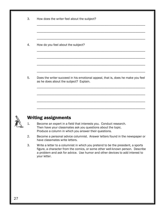|    | How does the writer feel about the subject?                                                                                                                                                |
|----|--------------------------------------------------------------------------------------------------------------------------------------------------------------------------------------------|
|    |                                                                                                                                                                                            |
| 4. | How do you feel about the subject?                                                                                                                                                         |
|    |                                                                                                                                                                                            |
| 5. | Does the writer succeed in his emotional appeal, that is, does he make you feel<br>as he does about the subject? Explain.                                                                  |
|    |                                                                                                                                                                                            |
|    |                                                                                                                                                                                            |
|    |                                                                                                                                                                                            |
|    |                                                                                                                                                                                            |
|    | <b>Writing assignments</b>                                                                                                                                                                 |
| 1. | Become an expert in a field that interests you. Conduct research.<br>Then have your classmates ask you questions about the topic.<br>Produce a column in which you answer their questions. |
| 2. | have classmates write letters.                                                                                                                                                             |
| 3. | Write a letter to a columnist in which you pretend to be the president, a sports<br>a problem and ask for advice. Use humor and other devices to add interest to<br>your letter.           |
|    |                                                                                                                                                                                            |
|    |                                                                                                                                                                                            |
|    | Become a personal advice columnist. Answer letters found in the newspaper or<br>figure, a character from the comics, or some other well-known person. Describe                             |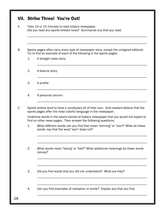|    | Take 10 or 15 minutes to read today's newspaper.<br>Did you read any sports-related news? Summarize any that you read.                                                                                                                                             |
|----|--------------------------------------------------------------------------------------------------------------------------------------------------------------------------------------------------------------------------------------------------------------------|
|    | Sports pages often carry every type of newspaper story, except the unsigned editorial.<br>Try to find an example of each of the following in the sports pages:                                                                                                     |
| 1. | A straight news story:                                                                                                                                                                                                                                             |
| 2. | A feature story:                                                                                                                                                                                                                                                   |
| 3. | A profile:                                                                                                                                                                                                                                                         |
| 4. | A personal column:                                                                                                                                                                                                                                                 |
|    |                                                                                                                                                                                                                                                                    |
|    | Sports writers tend to have a vocabulary all of their own. Avid readers believe that the<br>sports pages offer the most colorful language in the newspaper.                                                                                                        |
|    | find on other news pages. Then answer the following questions:                                                                                                                                                                                                     |
| 1. | words say that the word "won" does not?                                                                                                                                                                                                                            |
| 2. | Underline words in the sports stories of today's newspaper that you would not expect to<br>What different words can you find that mean "winning" or "won?" What do these<br>What words mean "losing" or "lost?" What additional meanings do these words<br>convey? |
| 3. | Did you find words that you did not understand? What are they?                                                                                                                                                                                                     |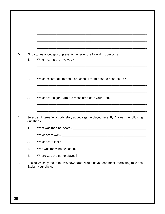|                | Find stories about sporting events. Answer the following questions:                                       |
|----------------|-----------------------------------------------------------------------------------------------------------|
| $\mathbf{1}$ . | Which teams are involved?                                                                                 |
|                |                                                                                                           |
| 2.             | Which basketball, football, or baseball team has the best record?                                         |
|                |                                                                                                           |
| 3.             | Which teams generate the most interest in your area?                                                      |
|                | Select an interesting sports story about a game played recently. Answer the following                     |
|                | questions:                                                                                                |
| 1.             |                                                                                                           |
| 2.             |                                                                                                           |
| 3.             |                                                                                                           |
|                |                                                                                                           |
| 4.             |                                                                                                           |
| 5.             |                                                                                                           |
|                | Decide which game in today's newspaper would have been most interesting to watch.<br>Explain your choice. |
|                |                                                                                                           |
|                |                                                                                                           |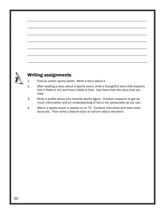

- 1. Find an action sports photo. Write a story about it.
- 2. After reading a story about a sports event, write a thoughtful story that explains how it feels to win and how it feels to lose. Use facts from the story that you read.
- 3. Write a profile about your favorite sports figure. Conduct research to get as much information and an understanding of his or her personality as you can.
- 4. Watch a sports event in person or on TV. Conduct interviews and read news accounts. Then write a feature story or column about the event.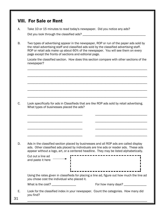# VIII. For Sale or Rent

- A. Take 10 or 15 minutes to read today's newspaper. Did you notice any ads? Did you look through the classified ads? \_\_\_\_\_\_\_\_\_\_\_\_\_\_\_\_\_\_\_\_\_\_\_\_\_\_\_\_\_\_\_\_\_\_\_\_\_\_\_
- B. Two types of advertising appear in the newspaper, ROP or run of the paper ads sold by the retail advertising staff and classified ads sold by the classified advertising staff. ROP or retail ads make up about 60% of the newspaper. You will see them on every page except the fronts of sections and editorial page.

\_\_\_\_\_\_\_\_\_\_\_\_\_\_\_\_\_\_\_\_\_\_\_\_\_\_\_\_\_\_\_\_\_\_\_\_\_\_\_\_\_\_\_\_\_\_\_\_\_\_\_\_\_\_\_\_\_\_\_\_\_\_\_\_\_\_\_\_\_\_\_\_\_\_

\_\_\_\_\_\_\_\_\_\_\_\_\_\_\_\_\_\_\_\_\_\_\_\_\_\_\_\_\_\_\_\_\_\_\_\_\_\_\_\_\_\_\_\_\_\_\_\_\_\_\_\_\_\_\_\_\_\_\_\_\_\_\_\_\_\_\_\_\_\_\_\_\_\_

\_\_\_\_\_\_\_\_\_\_\_\_\_\_\_\_\_\_\_\_\_\_\_\_\_\_\_\_\_\_\_\_\_\_\_\_\_\_\_\_\_\_\_\_\_\_\_\_\_\_\_\_\_\_\_\_\_\_\_\_\_\_\_\_\_\_\_\_\_\_\_\_\_\_

\_\_\_\_\_\_\_\_\_\_\_\_\_\_\_\_\_\_\_\_\_\_\_\_\_\_\_\_\_\_\_\_\_\_\_\_\_\_\_\_\_\_\_\_\_\_\_\_\_\_\_\_\_\_\_\_\_\_\_\_\_\_\_\_\_\_\_\_\_\_\_\_\_\_

\_\_\_\_\_\_\_\_\_\_\_\_\_\_\_\_\_\_\_\_\_\_\_\_\_\_\_\_\_\_\_\_\_\_\_\_\_\_\_\_\_\_\_\_\_\_\_\_\_\_\_\_\_\_\_\_\_\_\_\_\_\_\_\_\_\_\_\_\_\_\_\_\_\_

 Locate the classified section. How does this section compare with other sections of the newspaper?

C. Look specifically for ads in Classifieds that are like ROP ads sold by retail advertising. What types of businesses placed the ads?

\_\_\_\_\_\_\_\_\_\_\_\_\_\_\_\_\_\_\_\_\_\_\_\_\_\_\_\_\_\_\_\_\_\_ \_\_\_\_\_\_\_\_\_\_\_\_\_\_\_\_\_\_\_\_\_\_\_\_\_\_\_\_\_\_\_\_

\_\_\_\_\_\_\_\_\_\_\_\_\_\_\_\_\_\_\_\_\_\_\_\_\_\_\_\_\_\_\_\_\_\_ \_\_\_\_\_\_\_\_\_\_\_\_\_\_\_\_\_\_\_\_\_\_\_\_\_\_\_\_\_\_\_\_

\_\_\_\_\_\_\_\_\_\_\_\_\_\_\_\_\_\_\_\_\_\_\_\_\_\_\_\_\_\_\_\_\_\_ \_\_\_\_\_\_\_\_\_\_\_\_\_\_\_\_\_\_\_\_\_\_\_\_\_\_\_\_\_\_\_\_

\_\_\_\_\_\_\_\_\_\_\_\_\_\_\_\_\_\_\_\_\_\_\_\_\_\_\_\_\_\_\_\_\_\_ \_\_\_\_\_\_\_\_\_\_\_\_\_\_\_\_\_\_\_\_\_\_\_\_\_\_\_\_\_\_\_\_

D. Ads in the classified section placed by businesses and all ROP ads are called display ads. Other classified ads placed by individuals are line ads or reader ads. These ads appear without a logo, art, or a centered headline. They may be listed alphabetically.

 Cut out a line ad and paste it here

 Using the rates given in classifieds for placing a line ad, figure out how much the line ad you chose cost the individual who placed it.

What is the cost? \_\_\_\_\_\_\_\_\_\_\_\_\_\_\_ For how many days? \_\_\_\_\_\_\_\_\_\_\_\_\_\_

E. Look for the classified index in your newspaper. Count the categories. How many did you find?

\_\_\_\_\_\_\_\_\_\_\_\_\_\_\_\_\_\_\_\_\_\_\_\_\_\_\_\_\_\_\_\_\_\_\_\_\_\_\_\_\_\_\_\_\_\_\_\_\_\_\_\_\_\_\_\_\_\_\_\_\_\_\_\_\_\_\_\_\_\_\_\_\_\_ 31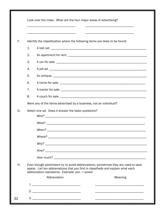|    | Look over the index. What are the four major areas of advertising?                                                                                                                                                                         |
|----|--------------------------------------------------------------------------------------------------------------------------------------------------------------------------------------------------------------------------------------------|
|    |                                                                                                                                                                                                                                            |
| F. | Identify the classification where the following items are likely to be found:                                                                                                                                                              |
|    | 1.                                                                                                                                                                                                                                         |
|    | 2.                                                                                                                                                                                                                                         |
|    | 3.                                                                                                                                                                                                                                         |
|    | 4.                                                                                                                                                                                                                                         |
|    | 5.<br>An antique. <u>The contract of the contract of the contract of the contract of the contract of the contract of the contract of the contract of the contract of the contract of the contract of the contract of the contract of t</u> |
|    | 6.                                                                                                                                                                                                                                         |
|    | 7.                                                                                                                                                                                                                                         |
|    | 8.<br>A couch for sale.                                                                                                                                                                                                                    |
|    | Were any of the items advertised by a business, not an individual?                                                                                                                                                                         |
| G. | Select one ad. Does it answer the basic questions?                                                                                                                                                                                         |
|    |                                                                                                                                                                                                                                            |
|    | When?                                                                                                                                                                                                                                      |
|    |                                                                                                                                                                                                                                            |
|    |                                                                                                                                                                                                                                            |
|    |                                                                                                                                                                                                                                            |
|    |                                                                                                                                                                                                                                            |
| Η. | Even though advertisers try to avoid abbreviations, sometimes they are used to save<br>space. List ten abbreviations that you find in classifieds and explain what each<br>abbreviation represents. Example: pwr. = power                  |
|    | Abbreviation<br>Meaning                                                                                                                                                                                                                    |
|    |                                                                                                                                                                                                                                            |
|    | 2.                                                                                                                                                                                                                                         |
| 32 |                                                                                                                                                                                                                                            |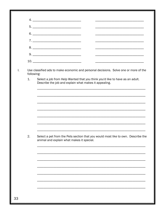|    | <u> 1980 - Johann Barn, margaret eta idazlear (h. 1980).</u>                                                                                                                       |
|----|------------------------------------------------------------------------------------------------------------------------------------------------------------------------------------|
|    |                                                                                                                                                                                    |
|    |                                                                                                                                                                                    |
| 1. | Use classified ads to make economic and personal decisions. Solve one or more of the<br>following:<br>Select a job from Help Wanted that you think you'd like to have as an adult. |
|    | Describe the job and explain what makes it appealing.                                                                                                                              |
|    |                                                                                                                                                                                    |
|    |                                                                                                                                                                                    |
|    |                                                                                                                                                                                    |
|    |                                                                                                                                                                                    |
|    |                                                                                                                                                                                    |
|    |                                                                                                                                                                                    |
|    |                                                                                                                                                                                    |
|    | Select a pet from the Pets section that you would most like to own. Describe the<br>animal and explain what makes it special.                                                      |
|    |                                                                                                                                                                                    |
|    |                                                                                                                                                                                    |
|    |                                                                                                                                                                                    |
|    |                                                                                                                                                                                    |
|    |                                                                                                                                                                                    |
| 2. |                                                                                                                                                                                    |

 $\mathbf{L}$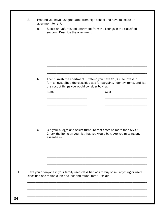| a. |                                                                                                                                                                                                   |
|----|---------------------------------------------------------------------------------------------------------------------------------------------------------------------------------------------------|
|    | Select an unfurnished apartment from the listings in the classified<br>section. Describe the apartment.                                                                                           |
|    |                                                                                                                                                                                                   |
|    |                                                                                                                                                                                                   |
|    |                                                                                                                                                                                                   |
| b. | Then furnish the apartment. Pretend you have \$1,000 to invest in<br>furnishings. Shop the classified ads for bargains. Identify items, and list<br>the cost of things you would consider buying. |
|    | Items<br>Cost                                                                                                                                                                                     |
|    |                                                                                                                                                                                                   |
|    |                                                                                                                                                                                                   |
| c. | Cut your budget and select furniture that costs no more than \$500.                                                                                                                               |
|    | Check the items on your list that you would buy. Are you missing any<br>essentials?                                                                                                               |
|    |                                                                                                                                                                                                   |
|    |                                                                                                                                                                                                   |
|    | Have you or anyone in your family used classified ads to buy or sell anything or used                                                                                                             |
|    | classified ads to find a job or a lost and found item? Explain.                                                                                                                                   |
|    |                                                                                                                                                                                                   |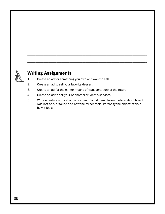# Writing Assignments

- 1. Create an ad for something you own and want to sell.
- 2. Create an ad to sell your favorite dessert.
- 3. Create an ad for the car (or means of transportation) of the future.
- 4. Create an ad to sell your or another student's services.
- 5. Write a feature story about a Lost and Found item. Invent details about how it was lost and/or found and how the owner feels. Personify the object; explain how it feels.

\_\_\_\_\_\_\_\_\_\_\_\_\_\_\_\_\_\_\_\_\_\_\_\_\_\_\_\_\_\_\_\_\_\_\_\_\_\_\_\_\_\_\_\_\_\_\_\_\_\_\_\_\_\_\_\_\_\_\_\_\_\_\_\_\_\_\_\_\_\_\_\_\_\_

\_\_\_\_\_\_\_\_\_\_\_\_\_\_\_\_\_\_\_\_\_\_\_\_\_\_\_\_\_\_\_\_\_\_\_\_\_\_\_\_\_\_\_\_\_\_\_\_\_\_\_\_\_\_\_\_\_\_\_\_\_\_\_\_\_\_\_\_\_\_\_\_\_\_

\_\_\_\_\_\_\_\_\_\_\_\_\_\_\_\_\_\_\_\_\_\_\_\_\_\_\_\_\_\_\_\_\_\_\_\_\_\_\_\_\_\_\_\_\_\_\_\_\_\_\_\_\_\_\_\_\_\_\_\_\_\_\_\_\_\_\_\_\_\_\_\_\_\_

\_\_\_\_\_\_\_\_\_\_\_\_\_\_\_\_\_\_\_\_\_\_\_\_\_\_\_\_\_\_\_\_\_\_\_\_\_\_\_\_\_\_\_\_\_\_\_\_\_\_\_\_\_\_\_\_\_\_\_\_\_\_\_\_\_\_\_\_\_\_\_\_\_\_

\_\_\_\_\_\_\_\_\_\_\_\_\_\_\_\_\_\_\_\_\_\_\_\_\_\_\_\_\_\_\_\_\_\_\_\_\_\_\_\_\_\_\_\_\_\_\_\_\_\_\_\_\_\_\_\_\_\_\_\_\_\_\_\_\_\_\_\_\_\_\_\_\_\_

\_\_\_\_\_\_\_\_\_\_\_\_\_\_\_\_\_\_\_\_\_\_\_\_\_\_\_\_\_\_\_\_\_\_\_\_\_\_\_\_\_\_\_\_\_\_\_\_\_\_\_\_\_\_\_\_\_\_\_\_\_\_\_\_\_\_\_\_\_\_\_\_\_\_

\_\_\_\_\_\_\_\_\_\_\_\_\_\_\_\_\_\_\_\_\_\_\_\_\_\_\_\_\_\_\_\_\_\_\_\_\_\_\_\_\_\_\_\_\_\_\_\_\_\_\_\_\_\_\_\_\_\_\_\_\_\_\_\_\_\_\_\_\_\_\_\_\_\_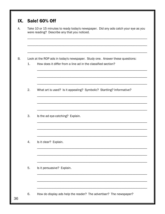|                | were reading? Describe any that you noticed.                                                                                                 |
|----------------|----------------------------------------------------------------------------------------------------------------------------------------------|
| $\mathbf{1}$ . | Look at the ROP ads in today's newspaper. Study one. Answer these questions:<br>How does it differ from a line ad in the classified section? |
| 2.             | What art is used? Is it appealing? Symbolic? Startling? Informative?                                                                         |
| 3.             | Is the ad eye-catching? Explain.                                                                                                             |
| 4.             | Is it clear? Explain.                                                                                                                        |
| 5.             | Is it persuasive? Explain.                                                                                                                   |
| 6.             | How do display ads help the reader? The advertiser? The newspaper?                                                                           |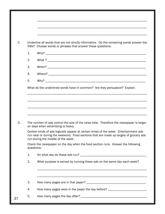|    | Underline all words that are not strictly informative. Do the remaining words answer the<br>5Ws? Choose words or phrases that answer these questions:                                                                                                                                                                                                                     |
|----|---------------------------------------------------------------------------------------------------------------------------------------------------------------------------------------------------------------------------------------------------------------------------------------------------------------------------------------------------------------------------|
| 1. |                                                                                                                                                                                                                                                                                                                                                                           |
| 2. |                                                                                                                                                                                                                                                                                                                                                                           |
| 3. |                                                                                                                                                                                                                                                                                                                                                                           |
| 4. |                                                                                                                                                                                                                                                                                                                                                                           |
| 5. |                                                                                                                                                                                                                                                                                                                                                                           |
|    | What do the underlined words have in common? Are they persuasive? Explain.                                                                                                                                                                                                                                                                                                |
|    |                                                                                                                                                                                                                                                                                                                                                                           |
|    |                                                                                                                                                                                                                                                                                                                                                                           |
|    | on days when advertising is heavy.<br>run during the middle of the week.                                                                                                                                                                                                                                                                                                  |
|    | The number of ads control the size of the news hole. Therefore the newspaper is larger<br>Certain kinds of ads logically appear at certain times of the week. Entertainment ads<br>run near or during the weekend. Food sections that are made up largely of grocery ads<br>Check the newspaper on the day when the food section runs. Answer the following<br>questions: |
| 1. |                                                                                                                                                                                                                                                                                                                                                                           |
| 2. | What purpose is served by running these ads on the same day each week?                                                                                                                                                                                                                                                                                                    |
|    |                                                                                                                                                                                                                                                                                                                                                                           |
| 3. |                                                                                                                                                                                                                                                                                                                                                                           |
| 4. | How many pages were in the paper the day before? _______________________________                                                                                                                                                                                                                                                                                          |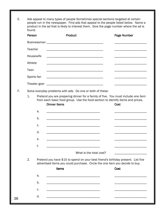E. Ads appeal to many types of people Sometimes special sections targeted at certain people run in the newspaper. Find ads that appeal to the people listed below. Name a product in the ad that is likely to interest them. Give the page number where the ad is found.

|    | Person  |            | <b>Product</b>                                                                                                                                                                            | Page Number |
|----|---------|------------|-------------------------------------------------------------------------------------------------------------------------------------------------------------------------------------------|-------------|
|    |         |            |                                                                                                                                                                                           |             |
|    | Teacher |            |                                                                                                                                                                                           |             |
|    |         | Housewife  | <u> 1989 - Johann Harry Harry Harry Harry Harry Harry Harry Harry Harry Harry Harry Harry Harry Harry Harry Harry</u>                                                                     |             |
|    | Athlete |            |                                                                                                                                                                                           |             |
|    | Teen    |            |                                                                                                                                                                                           |             |
|    |         | Sports fan |                                                                                                                                                                                           |             |
|    |         |            |                                                                                                                                                                                           |             |
| F. |         |            | Solve everyday problems with ads. Do one or both of these:                                                                                                                                |             |
|    | 1.      |            | Pretend you are preparing dinner for a family of five. You must include one item<br>from each basic food group. Use the food section to identify items and prices.<br><b>Dinner Items</b> | <b>Cost</b> |
|    |         | a.         |                                                                                                                                                                                           |             |
|    |         | b.         |                                                                                                                                                                                           |             |
|    |         | c.         | <u> 1980 - Johann Barn, mars ann an t-Amhain Aonaich an t-Aonaich an t-Aonaich ann an t-Aonaich ann an t-Aonaich</u>                                                                      |             |
|    |         | d.         |                                                                                                                                                                                           |             |
|    |         | е.         | <u> 1989 - Johann Barbara, martin da basar da basar da basar da basar da basar da basar da basar da basar da basa</u>                                                                     |             |
|    |         | f.         |                                                                                                                                                                                           |             |
|    |         |            | What is the total cost?                                                                                                                                                                   |             |
|    | 2.      |            | Pretend you have \$15 to spend on your best friend's birthday present. List five<br>advertised items you could purchase. Circle the one item you decide to buy.                           |             |
|    |         |            | <b>Items</b>                                                                                                                                                                              | Cost        |
|    |         | a.         |                                                                                                                                                                                           |             |
|    |         | b.         |                                                                                                                                                                                           |             |
|    |         | c.         |                                                                                                                                                                                           |             |
| 38 |         | d.         | <u> 1989 - Johann Barbara, martin da basar da basar da basar da basar da basar da basar da basar da basar da basa</u>                                                                     |             |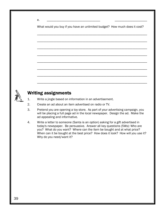|  | _______________ |
|--|-----------------|

What would you buy if you have an unlimited budget? How much does it cost?

\_\_\_\_\_\_\_\_\_\_\_\_\_\_\_\_\_\_\_\_\_\_\_\_\_\_\_\_\_\_\_\_\_\_\_\_\_\_\_\_\_\_\_\_\_\_\_\_\_\_\_\_\_\_\_\_\_\_\_\_\_\_\_\_\_\_\_\_

\_\_\_\_\_\_\_\_\_\_\_\_\_\_\_\_\_\_\_\_\_\_\_\_\_\_\_\_\_\_\_\_\_\_\_\_\_\_\_\_\_\_\_\_\_\_\_\_\_\_\_\_\_\_\_\_\_\_\_\_\_\_\_\_\_\_\_\_

\_\_\_\_\_\_\_\_\_\_\_\_\_\_\_\_\_\_\_\_\_\_\_\_\_\_\_\_\_\_\_\_\_\_\_\_\_\_\_\_\_\_\_\_\_\_\_\_\_\_\_\_\_\_\_\_\_\_\_\_\_\_\_\_\_\_\_\_

\_\_\_\_\_\_\_\_\_\_\_\_\_\_\_\_\_\_\_\_\_\_\_\_\_\_\_\_\_\_\_\_\_\_\_\_\_\_\_\_\_\_\_\_\_\_\_\_\_\_\_\_\_\_\_\_\_\_\_\_\_\_\_\_\_\_\_\_

\_\_\_\_\_\_\_\_\_\_\_\_\_\_\_\_\_\_\_\_\_\_\_\_\_\_\_\_\_\_\_\_\_\_\_\_\_\_\_\_\_\_\_\_\_\_\_\_\_\_\_\_\_\_\_\_\_\_\_\_\_\_\_\_\_\_\_\_

\_\_\_\_\_\_\_\_\_\_\_\_\_\_\_\_\_\_\_\_\_\_\_\_\_\_\_\_\_\_\_\_\_\_\_\_\_\_\_\_\_\_\_\_\_\_\_\_\_\_\_\_\_\_\_\_\_\_\_\_\_\_\_\_\_\_\_\_

\_\_\_\_\_\_\_\_\_\_\_\_\_\_\_\_\_\_\_\_\_\_\_\_\_\_\_\_\_\_\_\_\_\_\_\_\_\_\_\_\_\_\_\_\_\_\_\_\_\_\_\_\_\_\_\_\_\_\_\_\_\_\_\_\_\_\_\_

\_\_\_\_\_\_\_\_\_\_\_\_\_\_\_\_\_\_\_\_\_\_\_\_\_\_\_\_\_\_\_\_\_\_\_\_\_\_\_\_\_\_\_\_\_\_\_\_\_\_\_\_\_\_\_\_\_\_\_\_\_\_\_\_\_\_\_\_



- 1. Write a jingle based on information in an advertisement.
- 2. Create an ad about an item advertised on radio or TV.
- 3. Pretend you are opening a toy store. As part of your advertising campaign, you will be placing a full page ad in the local newspaper. Design the ad. Make the ad appealing and informative.
- 4. Write a letter to someone (Santa is an option) asking for a gift advertised in today's newspaper. Be persuasive. Answer all key questions (5Ws): Who are you? What do you want? Where can the item be bought and at what price? When can it be bought at the best price? How does it look? How will you use it? Why do you need/want it?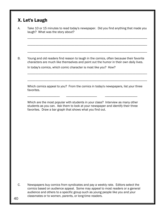# X. Let's Laugh

|            | Young and old readers find reason to laugh in the comics, often because their favorite<br>characters are much like themselves and point out the humor in their own daily lives.                                                  |
|------------|----------------------------------------------------------------------------------------------------------------------------------------------------------------------------------------------------------------------------------|
|            | In today's comics, which comic character is most like you? How?                                                                                                                                                                  |
| favorites. | Which comics appeal to you? From the comics in today's newspapers, list your three                                                                                                                                               |
|            | Which are the most popular with students in your class? Interview as many other<br>students as you can. Ask them to look at your newspaper and identify their three<br>favorites. Draw a bar graph that shows what you find out. |
|            |                                                                                                                                                                                                                                  |
|            |                                                                                                                                                                                                                                  |
|            |                                                                                                                                                                                                                                  |
|            |                                                                                                                                                                                                                                  |
|            |                                                                                                                                                                                                                                  |

classmates or to women, parents, or long-time readers. 40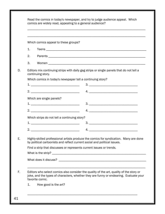|                          | Which comics appeal to these groups?                                                                                                                               |
|--------------------------|--------------------------------------------------------------------------------------------------------------------------------------------------------------------|
| 1.                       |                                                                                                                                                                    |
| 2.                       |                                                                                                                                                                    |
| 3.                       |                                                                                                                                                                    |
| continuing story.        | Editors mix continuing strips with daily gag strips or single panels that do not tell a                                                                            |
|                          | Which comics in today's newspaper tell a continuing story?                                                                                                         |
|                          |                                                                                                                                                                    |
|                          |                                                                                                                                                                    |
| Which are single panels? |                                                                                                                                                                    |
|                          |                                                                                                                                                                    |
|                          |                                                                                                                                                                    |
|                          | Which strips do not tell a continuing story?                                                                                                                       |
|                          |                                                                                                                                                                    |
|                          |                                                                                                                                                                    |
|                          | Highly-skilled professional artists produce the comics for syndication. Many are done<br>by political cartoonists and reflect current social and political issues. |
|                          | Find a strip that discusses or represents current issues or trends.                                                                                                |
|                          |                                                                                                                                                                    |
|                          |                                                                                                                                                                    |
|                          | Editors who select comics also consider the quality of the art, quality of the story or                                                                            |
| favorite comic.          | joke, and the types of characters, whether they are funny or endearing. Evaluate your                                                                              |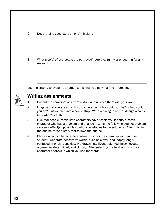2. Does it tell a good story or joke? Explain.

 3. What type(s) of characters are portrayed? Are they funny or endearing for any reason?

\_\_\_\_\_\_\_\_\_\_\_\_\_\_\_\_\_\_\_\_\_\_\_\_\_\_\_\_\_\_\_\_\_\_\_\_\_\_\_\_\_\_\_\_\_\_\_\_\_\_\_\_\_\_\_\_\_\_\_\_\_\_\_\_\_\_\_\_

\_\_\_\_\_\_\_\_\_\_\_\_\_\_\_\_\_\_\_\_\_\_\_\_\_\_\_\_\_\_\_\_\_\_\_\_\_\_\_\_\_\_\_\_\_\_\_\_\_\_\_\_\_\_\_\_\_\_\_\_\_\_\_\_\_\_\_\_

\_\_\_\_\_\_\_\_\_\_\_\_\_\_\_\_\_\_\_\_\_\_\_\_\_\_\_\_\_\_\_\_\_\_\_\_\_\_\_\_\_\_\_\_\_\_\_\_\_\_\_\_\_\_\_\_\_\_\_\_\_\_\_\_\_\_\_\_

\_\_\_\_\_\_\_\_\_\_\_\_\_\_\_\_\_\_\_\_\_\_\_\_\_\_\_\_\_\_\_\_\_\_\_\_\_\_\_\_\_\_\_\_\_\_\_\_\_\_\_\_\_\_\_\_\_\_\_\_\_\_\_\_\_\_\_\_

\_\_\_\_\_\_\_\_\_\_\_\_\_\_\_\_\_\_\_\_\_\_\_\_\_\_\_\_\_\_\_\_\_\_\_\_\_\_\_\_\_\_\_\_\_\_\_\_\_\_\_\_\_\_\_\_\_\_\_\_\_\_\_\_\_\_\_\_

\_\_\_\_\_\_\_\_\_\_\_\_\_\_\_\_\_\_\_\_\_\_\_\_\_\_\_\_\_\_\_\_\_\_\_\_\_\_\_\_\_\_\_\_\_\_\_\_\_\_\_\_\_\_\_\_\_\_\_\_\_\_\_\_\_\_\_\_

\_\_\_\_\_\_\_\_\_\_\_\_\_\_\_\_\_\_\_\_\_\_\_\_\_\_\_\_\_\_\_\_\_\_\_\_\_\_\_\_\_\_\_\_\_\_\_\_\_\_\_\_\_\_\_\_\_\_\_\_\_\_\_\_\_\_\_\_

\_\_\_\_\_\_\_\_\_\_\_\_\_\_\_\_\_\_\_\_\_\_\_\_\_\_\_\_\_\_\_\_\_\_\_\_\_\_\_\_\_\_\_\_\_\_\_\_\_\_\_\_\_\_\_\_\_\_\_\_\_\_\_\_\_\_\_\_

Use the criteria to evaluate another comic that you may not find interesting.

- 1. Cut out the conversations from a strip, and replace them with your own.
- 2. Imagine that you are a comic strip character. Who would you be? What would you do? Put yourself into a comic strip. Write a dialogue and/or design a comic strip with you in it.
- 3. Like real people, comic strip characters have problems. Identify a comic character who has a problem and analyze it using the following outline: problem, cause(s), effect(s), possible solutions, obstacles to the solutions. After finishing the outline, write a story that follows the outline.
- 4. Choose a comic character to analyze. Discuss the character with another student. Generate descriptive words, such as clever, sad, happy, angry, confused, friendly, sensitive, withdrawn, intelligent, talented, mischievous, aggressive, determined, and clumsy. After selecting the best words, write a character analysis in which you use the words.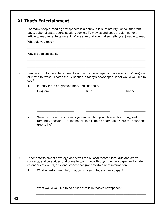|      |                                               | For many people, reading newspapers is a hobby, a leisure activity. Check the front<br>page, editorial page, sports section, comics, TV-movies and special columns for an<br>article to read for entertainment. Make sure that you find something enjoyable to read. |         |
|------|-----------------------------------------------|----------------------------------------------------------------------------------------------------------------------------------------------------------------------------------------------------------------------------------------------------------------------|---------|
|      | What did you read?                            |                                                                                                                                                                                                                                                                      |         |
|      | Why did you choose it?                        |                                                                                                                                                                                                                                                                      |         |
| see? |                                               | Readers turn to the entertainment section in a newspaper to decide which TV program<br>or movie to watch. Locate the TV section in today's newspaper. What would you like to                                                                                         |         |
| 1.   | Identify three programs, times, and channels. |                                                                                                                                                                                                                                                                      |         |
|      | Program                                       | Time                                                                                                                                                                                                                                                                 | Channel |
|      |                                               |                                                                                                                                                                                                                                                                      |         |
|      |                                               |                                                                                                                                                                                                                                                                      |         |
|      |                                               |                                                                                                                                                                                                                                                                      |         |
| 2.   | true to life?                                 | Select a movie that interests you and explain your choice. Is it funny, sad,<br>romantic, or scary? Are the people in it likable or admirable? Are the situations                                                                                                    |         |
|      |                                               |                                                                                                                                                                                                                                                                      |         |
|      |                                               | Other entertainment coverage deals with radio, local theater, local arts and crafts,<br>concerts, and celebrities that come to town. Look through the newspaper and locate<br>calendars of events, ads, and stories that give entertainment information.             |         |
| 1.   |                                               | What entertainment information is given in today's newspaper?                                                                                                                                                                                                        |         |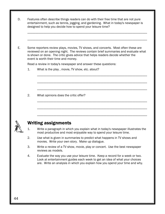D. Features often describe things readers can do with their free time that are not pure entertainment, such as tennis, jogging, and gardening. What in today's newspaper is designed to help you decide how to spend your leisure time? \_\_\_\_\_\_\_\_\_\_\_\_\_\_\_\_\_\_\_\_\_\_\_\_\_\_\_\_\_\_\_\_\_\_\_\_\_\_\_\_\_\_\_\_\_\_\_\_\_\_\_\_\_\_\_\_\_\_\_\_\_\_\_\_\_\_\_\_\_\_\_\_\_\_

E. Some reporters review plays, movies, TV shows, and concerts. Most often these are reviewed on an opening night. The reviews contain brief summaries and evaluate what is shown or done. The critic gives advice that helps readers decide whether the event is worth their time and money.

\_\_\_\_\_\_\_\_\_\_\_\_\_\_\_\_\_\_\_\_\_\_\_\_\_\_\_\_\_\_\_\_\_\_\_\_\_\_\_\_\_\_\_\_\_\_\_\_\_\_\_\_\_\_\_\_\_\_\_\_\_\_\_\_\_\_\_\_

\_\_\_\_\_\_\_\_\_\_\_\_\_\_\_\_\_\_\_\_\_\_\_\_\_\_\_\_\_\_\_\_\_\_\_\_\_\_\_\_\_\_\_\_\_\_\_\_\_\_\_\_\_\_\_\_\_\_\_\_\_\_\_\_\_\_\_\_

\_\_\_\_\_\_\_\_\_\_\_\_\_\_\_\_\_\_\_\_\_\_\_\_\_\_\_\_\_\_\_\_\_\_\_\_\_\_\_\_\_\_\_\_\_\_\_\_\_\_\_\_\_\_\_\_\_\_\_\_\_\_\_\_\_\_\_\_

\_\_\_\_\_\_\_\_\_\_\_\_\_\_\_\_\_\_\_\_\_\_\_\_\_\_\_\_\_\_\_\_\_\_\_\_\_\_\_\_\_\_\_\_\_\_\_\_\_\_\_\_\_\_\_\_\_\_\_\_\_\_\_\_\_\_\_\_

\_\_\_\_\_\_\_\_\_\_\_\_\_\_\_\_\_\_\_\_\_\_\_\_\_\_\_\_\_\_\_\_\_\_\_\_\_\_\_\_\_\_\_\_\_\_\_\_\_\_\_\_\_\_\_\_\_\_\_\_\_\_\_\_\_\_\_\_

\_\_\_\_\_\_\_\_\_\_\_\_\_\_\_\_\_\_\_\_\_\_\_\_\_\_\_\_\_\_\_\_\_\_\_\_\_\_\_\_\_\_\_\_\_\_\_\_\_\_\_\_\_\_\_\_\_\_\_\_\_\_\_\_\_\_\_\_

\_\_\_\_\_\_\_\_\_\_\_\_\_\_\_\_\_\_\_\_\_\_\_\_\_\_\_\_\_\_\_\_\_\_\_\_\_\_\_\_\_\_\_\_\_\_\_\_\_\_\_\_\_\_\_\_\_\_\_\_\_\_\_\_\_\_\_\_\_\_\_\_\_\_

Read a review in today's newspaper and answer these questions:

1. What is the play , movie, TV show, etc. about?

2. What opinions does the critic offer?



- 1. Write a paragraph in which you explain what in today's newspaper illustrates the most productive and most enjoyable way to spend your leisure time.
- 2. Use what is given in summaries to predict what happens in TV shows and movies. Write your own story. Make up dialogue.
- 3. Write a review of a TV show, movie, play or concert. Use the best newspaper reviews as models.
- 4. Evaluate the way you use your leisure time. Keep a record for a week or two. Look at entertainment guides each week to get an idea of what your choices are. Write an analysis in which you explain how you spend your time and why.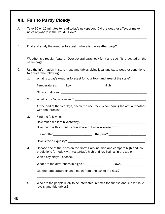|    | Take 10 or 15 minutes to read today's newspaper. Did the weather affect or make<br>news anywhere in the world? How?                                       |
|----|-----------------------------------------------------------------------------------------------------------------------------------------------------------|
|    | Find and study the weather forecast. Where is the weather page?                                                                                           |
|    | Weather is a regular feature. Over several days, look for it and see if it is located on the<br>same page.                                                |
|    | Use the information in state maps and tables giving local and state weather conditions<br>to answer the following:                                        |
| 1. | What is today's weather forecast for your town and area of the state?                                                                                     |
|    |                                                                                                                                                           |
|    |                                                                                                                                                           |
| 2. |                                                                                                                                                           |
|    | At the end of the five days, check the accuracy by comparing the actual weather<br>with the forecast.                                                     |
| 3. | Find the following:                                                                                                                                       |
|    |                                                                                                                                                           |
|    | How much is this month's rain above or below average for                                                                                                  |
|    | the month?<br>the year?                                                                                                                                   |
|    |                                                                                                                                                           |
| 4. | Choose one of the cities on the North Carolina map and compare high and low<br>predictions for today with yesterday's high and low listings in the table. |
|    |                                                                                                                                                           |
|    | What are the differences in highs? _______________                                                                                                        |
|    | Did the temperature change much from one day to the next?                                                                                                 |
|    |                                                                                                                                                           |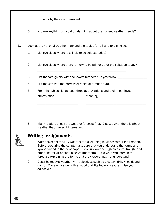Explain why they are interested.

6. Is there anything unusual or alarming about the current weather trends?

\_\_\_\_\_\_\_\_\_\_\_\_\_\_\_\_\_\_\_\_\_\_\_\_\_\_\_\_\_\_\_\_\_\_\_\_\_\_\_\_\_\_\_\_\_\_\_\_\_\_\_\_\_\_\_\_\_\_\_\_\_\_\_\_\_\_\_

\_\_\_\_\_\_\_\_\_\_\_\_\_\_\_\_\_\_\_\_\_\_\_\_\_\_\_\_\_\_\_\_\_\_\_\_\_\_\_\_\_\_\_\_\_\_\_\_\_\_\_\_\_\_\_\_\_\_\_\_\_\_\_\_\_\_\_

D. Look at the national weather map and the tables for US and foreign cities.

\_\_\_\_\_\_\_\_\_\_\_\_\_\_\_\_\_\_\_\_\_\_\_\_\_\_ \_\_\_\_\_\_\_\_\_\_\_\_\_\_\_\_\_\_\_\_\_\_\_\_\_

- 1. List two cities where it is likely to be coldest today?
- 2. List two cities where there is likely to be rain or other precipitation today?
- 3. List the foreign city with the lowest temperature yesterday. \_\_\_\_\_\_\_\_\_\_\_\_\_\_\_\_

\_\_\_\_\_\_\_\_\_\_\_\_\_\_\_\_\_\_\_\_\_\_\_\_\_\_ \_\_\_\_\_\_\_\_\_\_\_\_\_\_\_\_\_\_\_\_\_\_\_\_\_

- 4. List the city with the narrowest range of temperature. \_\_\_\_\_\_\_\_\_\_\_\_\_\_\_\_\_\_\_\_\_\_
- 5. From the tables, list at least three abbreviations and their meanings. Abbreviation Meaning

\_\_\_\_\_\_\_\_\_\_\_\_\_\_\_\_\_\_\_\_\_\_\_\_\_ \_\_\_\_\_\_\_\_\_\_\_\_\_\_\_\_\_\_\_\_\_\_\_\_\_\_\_\_\_\_\_\_\_\_\_\_\_

\_\_\_\_\_\_\_\_\_\_\_\_\_\_\_\_\_\_\_\_\_\_\_\_\_ \_\_\_\_\_\_\_\_\_\_\_\_\_\_\_\_\_\_\_\_\_\_\_\_\_\_\_\_\_\_\_\_\_\_\_\_\_

\_\_\_\_\_\_\_\_\_\_\_\_\_\_\_\_\_\_\_\_\_\_\_\_\_ \_\_\_\_\_\_\_\_\_\_\_\_\_\_\_\_\_\_\_\_\_\_\_\_\_\_\_\_\_\_\_\_\_\_\_\_\_

 6. Many readers check the weather forecast first. Discuss what there is about weather that makes it interesting.



- 1. Write the script for a TV weather forecast using today's weather information. Before preparing the script, make sure that you understand the terms and symbols used in the newspaper. Look up low and high pressure, trough, and other unfamiliar or confusing weather terms. Use what you learn in the forecast, explaining the terms that the viewers may not understand.
- 2. Describe today's weather with adjectives such as blustery, drizzly, cold, and damp. Make up a story with a mood that fits today's weather. Use your adjectives.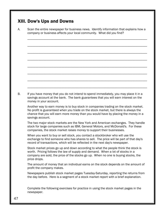# XIII. Dow's Ups and Downs

A. Scan the entire newspaper for business news. Identify information that explains how a company or business affects your local community. What did you find?

\_\_\_\_\_\_\_\_\_\_\_\_\_\_\_\_\_\_\_\_\_\_\_\_\_\_\_\_\_\_\_\_\_\_\_\_\_\_\_\_\_\_\_\_\_\_\_\_\_\_\_\_\_\_\_\_\_\_\_\_\_\_\_\_\_\_\_\_\_\_\_\_\_\_

\_\_\_\_\_\_\_\_\_\_\_\_\_\_\_\_\_\_\_\_\_\_\_\_\_\_\_\_\_\_\_\_\_\_\_\_\_\_\_\_\_\_\_\_\_\_\_\_\_\_\_\_\_\_\_\_\_\_\_\_\_\_\_\_\_\_\_\_\_\_\_\_\_\_

\_\_\_\_\_\_\_\_\_\_\_\_\_\_\_\_\_\_\_\_\_\_\_\_\_\_\_\_\_\_\_\_\_\_\_\_\_\_\_\_\_\_\_\_\_\_\_\_\_\_\_\_\_\_\_\_\_\_\_\_\_\_\_\_\_\_\_\_\_\_\_\_\_\_

\_\_\_\_\_\_\_\_\_\_\_\_\_\_\_\_\_\_\_\_\_\_\_\_\_\_\_\_\_\_\_\_\_\_\_\_\_\_\_\_\_\_\_\_\_\_\_\_\_\_\_\_\_\_\_\_\_\_\_\_\_\_\_\_\_\_\_\_\_\_\_\_\_\_

\_\_\_\_\_\_\_\_\_\_\_\_\_\_\_\_\_\_\_\_\_\_\_\_\_\_\_\_\_\_\_\_\_\_\_\_\_\_\_\_\_\_\_\_\_\_\_\_\_\_\_\_\_\_\_\_\_\_\_\_\_\_\_\_\_\_\_\_\_\_\_\_\_\_

\_\_\_\_\_\_\_\_\_\_\_\_\_\_\_\_\_\_\_\_\_\_\_\_\_\_\_\_\_\_\_\_\_\_\_\_\_\_\_\_\_\_\_\_\_\_\_\_\_\_\_\_\_\_\_\_\_\_\_\_\_\_\_\_\_\_\_\_\_\_\_\_\_\_

\_\_\_\_\_\_\_\_\_\_\_\_\_\_\_\_\_\_\_\_\_\_\_\_\_\_\_\_\_\_\_\_\_\_\_\_\_\_\_\_\_\_\_\_\_\_\_\_\_\_\_\_\_\_\_\_\_\_\_\_\_\_\_\_\_\_\_\_\_\_\_\_\_\_

\_\_\_\_\_\_\_\_\_\_\_\_\_\_\_\_\_\_\_\_\_\_\_\_\_\_\_\_\_\_\_\_\_\_\_\_\_\_\_\_\_\_\_\_\_\_\_\_\_\_\_\_\_\_\_\_\_\_\_\_\_\_\_\_\_\_\_\_\_\_\_\_\_\_

B. If you have money that you do not intend to spend immediately, you may place it in a savings account at the bank. The bank guarantees that you will earn interest on the money in your account.

 Another way to earn money is to buy stock in companies trading on the stock market. No profit is guaranteed when you trade on the stock market, but there is always the chance that you will earn more money than you would have by placing the money in a savings account.

 The two major stock markets are the New York and American exchanges. They handle stock for large companies such as IBM, General Motors, and McDonald's. For these companies, the stock market raises money to support their businesses.

 When you want to buy or sell stock, you contact a stockbroker who will use the exchange to find someone who has shares to sell. The price will be part of that day's record of transactions, which will be reflected in the next day's newspaper.

 Stock market prices go up and down according to what the people think the stock is worth. Pricing follows the law of supply and demand. When a lot of stocks in a company are sold, the price of the stocks go up. When no one is buying stocks, the price drops.

 The amount of money that an individual earns on the stock depends on the amount of profit the company makes.

 Newspapers publish stock market pages Tuesday-Saturday, reporting the returns from the day before. Here is a segment of a stock market report with a brief explanation.

 Complete the following exercises for practice in using the stock market pages in the newspaper.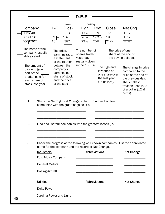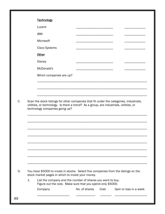|                | Lucent                                                                                                                                                                            |               |      |                        |
|----------------|-----------------------------------------------------------------------------------------------------------------------------------------------------------------------------------|---------------|------|------------------------|
|                | <b>IBM</b>                                                                                                                                                                        |               |      |                        |
|                | Microsoft                                                                                                                                                                         |               |      |                        |
|                | <b>Cisco Systems</b>                                                                                                                                                              |               |      |                        |
|                | <b>Other</b>                                                                                                                                                                      |               |      |                        |
|                | <b>Disney</b>                                                                                                                                                                     |               |      |                        |
|                | McDonald's                                                                                                                                                                        |               |      |                        |
|                | Which companies are up?                                                                                                                                                           |               |      |                        |
|                |                                                                                                                                                                                   |               |      |                        |
|                | Scan the stock listings for other companies that fit under the categories, industrials,<br>utilities, or technology. Is there a trend? As a group, are industrials, utilities, or |               |      |                        |
|                | technology companies going up?                                                                                                                                                    |               |      |                        |
|                |                                                                                                                                                                                   |               |      |                        |
|                |                                                                                                                                                                                   |               |      |                        |
|                |                                                                                                                                                                                   |               |      |                        |
|                |                                                                                                                                                                                   |               |      |                        |
|                |                                                                                                                                                                                   |               |      |                        |
|                |                                                                                                                                                                                   |               |      |                        |
|                |                                                                                                                                                                                   |               |      |                        |
|                | You have \$5000 to invest in stocks. Select five companies from the listings on the                                                                                               |               |      |                        |
|                | stock market pages in which to invest your money.                                                                                                                                 |               |      |                        |
| $\mathbf{1}$ . | List the company and the number of shares you want to buy.<br>Figure out the cost. Make sure that you spend only \$5000.<br>Company                                               | No. of shares | Cost | Gain or loss in a week |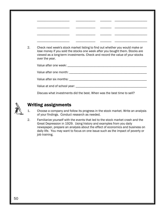| 2. | Check next week's stock market listing to find out whether you would make or<br>lose money if you sold the stocks one week after you bought them. Stocks are |
|----|--------------------------------------------------------------------------------------------------------------------------------------------------------------|
|    | viewed as a long-term investments. Check and record the value of your stocks<br>over the year.                                                               |
|    |                                                                                                                                                              |
|    |                                                                                                                                                              |
|    |                                                                                                                                                              |
|    |                                                                                                                                                              |



- 1. Choose a company and follow its progress in the stock market. Write an analysis of your findings. Conduct research as needed.
- 2. Familiarize yourself with the events that led to the stock market crash and the Great Depression in 1929. Using history and examples from you daily newspaper, prepare an analysis about the effect of economics and business on daily life. You may want to focus on one issue such as the impact of poverty or job training.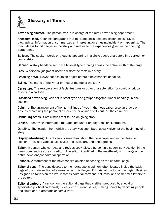

# Glossary of Terms

Advertising director. The person who is in charge of the retail advertising department.

Anecdotal lead. Opening paragraphs that tell someone's personal experiences. Gives biographical information or summarizes an interesting or amusing incident or happening. The main idea is found deeper in the story and relates to the experiences given in the opening paragraphs.

**Balloon.** The spoken words or thoughts appearing in a circle above characters in a cartoon or comic strip.

Banner. A story headline set in the boldest type running across the entire width of the page.

Bias. A personal judgment used to distort the facts in a story.

Breaking news. News that occurs on or just before a newspaper's deadline.

Byline. The name of the writer printed at the top of the story.

**Caricature.** The exaggeration of facial features or other characteristics for comic or critical effects in a cartoon.

Classified advertising. Ads set in small type and grouped together under headings in one section.

**Column.** The arrangement of horizontal lines of type in the newspaper, also an article or articles expressing the personal experience or opinion of its author, the columnist.

**Continuing strips.** Comic strips that tell an on-going story.

**Cutline.** Identifying information that appears under photographs or illustrations.

Dateline. The location from which the story was submitted, usually given at the beginning of a story.

Display advertising. Ads of various sizes throughout the newspaper and in the classified section. They use various type styles and sizes, art, and photographs.

**Editor.** A person who corrects and revises copy; also, a person in a supervisory position in the newsroom, such as the city editor. The editor, identified in the masthead, is in charge of the entire news and/or editorial operation.

**Editorial.** A statement of the newspaper's opinion appearing on the editorial page.

**Editorial page.** The page devoted to the newspaper's opinion, often located inside the back page of the main section of a newspaper. It is flagged Editorial at the top of the page. Besides unsigned editorials on the left, it carries editorial cartoons, columns, and sometimes letters to the editor.

Editorial cartoon. A cartoon on the editorial page that is either produced by a local or syndicated political cartoonist; it deals with current issues, making points by depicting people and situations in dramatic or comic ways.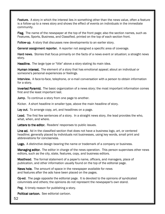**Feature.** A story in which the interest lies in something other than the news value, often a feature is a follow-up to a news story and shows the effect of events on individuals in the immediate community.

Flag. The name of the newspaper at the top of the front page; also the section names, such as Features, Sports, Business, and Classified, printed on the top of each section front.

Follow-up. A story that discusses new developments to an earlier story.

**General assignment reporter.** A reporter not assigned a specific area of coverage.

Hard news. Stories that focus primarily on the facts of a news event or situation; a straight news. story.

Headline. The large type or "title" above a story stating its main idea.

Human interest. The element of a story that has emotional appeal; about an individual or someone's personal experiences or feelings.

Interview. A face-to-face, telephone, or e-mail conversation with a person to obtain information for a story.

Inverted Pyramid. The basic organization of a news story; the most important information comes first and the least important last.

Jump. To continue a story from one page to another.

Kicker. A short headline in smaller type, above the main headline of story.

Lay out. To arrange copy, art, and headlines on a page.

Lead. The first few sentences of a story. In a straight news story, the lead provides the who, what, when, and where.

Letters to the editor. Readers' responses to public issues.

Line ad. Ad in the classified section that does not have a business logo, art, or centered headline; generally placed by individuals not businesses, using key words, small print and abbreviations for conciseness.

Logo. A distinctive design bearing the name or trademark of a company or business.

Managing editor. The editor in charge of the news operation. This person supervises other news editors, such as the city, state, features, copy, and business editors.

**Masthead.** The formal statement of a paper's name, officers, and managers, place of publication, and other information usually found on the top of the editorial page.

News hole. The amount of space in the newspaper available for news and features after the ads have been placed on the pages.

Op-ed. The page opposite the editorial page. It is devoted to the opinions of syndicated columnists and others; the opinions do not represent the newspaper's own stand.

Peg. A timely reason for publishing a story.

Political cartoon. See editorial cartoon.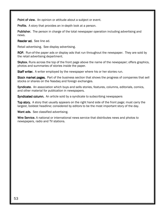Point of view. An opinion or attitude about a subject or event.

Profile. A story that provides an in-depth look at a person.

Publisher. The person in charge of the total newspaper operation including advertising and news.

Reader ad. See line ad.

Retail advertising. See display advertising.

**ROP.** Run-of-the paper ads or display ads that run throughout the newspaper. They are sold by the retail advertising department.

Skybox. Runs across the top of the front page above the name of the newspaper; offers graphics, photos and summaries of stories inside the paper.

Staff writer. A writer employed by the newspaper where his or her stories run.

Stock market pages. Part of the business section that shows the progress of companies that sell stocks or shares on the Nasdaq and foreign exchanges.

Syndicate. An association which buys and sells stories, features, columns, editorials, comics, and other material for publication in newspapers.

Syndicated column. An article sold by a syndicate to subscribing newspapers

Top story. A story that usually appears on the right hand side of the front page; must carry the largest, boldest headline; considered by editors to be the most important story of the day.

Want ads. See classified advertising.

Wire Service. A national or international news service that distributes news and photos to newspapers, radio and TV stations.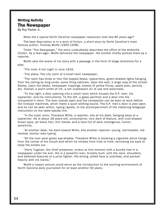#### Writing Activity The Newspaper

By Roy Parker Jr.

What did a typical North Carolina newspaper newsroom look like 80 years ago?

The best description is in a work of fiction, a short story by North Carolinaís most famous author, Thomas Wolfe (1900-1938).

Titled "The Newspaper," the story undoubtedly describes the office of the *Asheville Citizen.* As a teen-ager, Wolfe delivered the newspaper. His brother briefly worked there as a reporter.

Wolfe sets the scene of his story with a passage in the form of stage directions for a play:

"The time: A hot night in June 1916.

ìThe place: The city room of a small town newspaper.

"The room has three or four flat-topped desks, typewriters, green-shaded lights hanging from the ceiling by long cords, some filing cabinets. Upon the wall, a large map of the United States. Upon the desks, newspaper clippings, sheets of yellow flimsy, paste pots, pencils, etc. Overall, a warm smell of ink, a not unpleasant air of use and weariness.

"To the right, a door opening into a small room which houses the A.P. man, his typewriter, and his instruments. To the left, a glass partition and a door into the compositorís room. The door stands open and the compositor can be seen at work before the linotype machines, which make a quiet slotting sound. The A.P. manís door is also open, and he can be seen within, typing rapidly, to the accompaniment of the clattering telegraph instrument on the table beside him.

"In the outer room, Theodore Willis, a reporter, sits at his desk, banging away at a typewriter. He is about 28 years old, consumptive, very dark of feature, with oval-shaped brown eyes, jet black hair, thin hands, and a face full of dark intelligence, humor, sensitivity.

"At another desk, his back-toward Willis, sits another reporter–young, red-headed, rednecked, stocky-also typing.

"All the men wear green eye-shades. Theodore Willis is smoking a cigarette which hangs from the corner of his mouth and which he inhales from time to time, narrowing his eyes to keep the smoke out.

ìHarry Tugman, the chief pressman, enters at this moment with a bundle tied in a newspaper under his arm. His is a powerful man, brutally built, with the neck, shoulders, and battered features of a prize fighter. His strong, pitted face is colorless, and pocked heavily with ink marks."

Wolfe's classic picture could serve as the introduction to the working environment of North Carolina daily journalism for at least another 50 years.